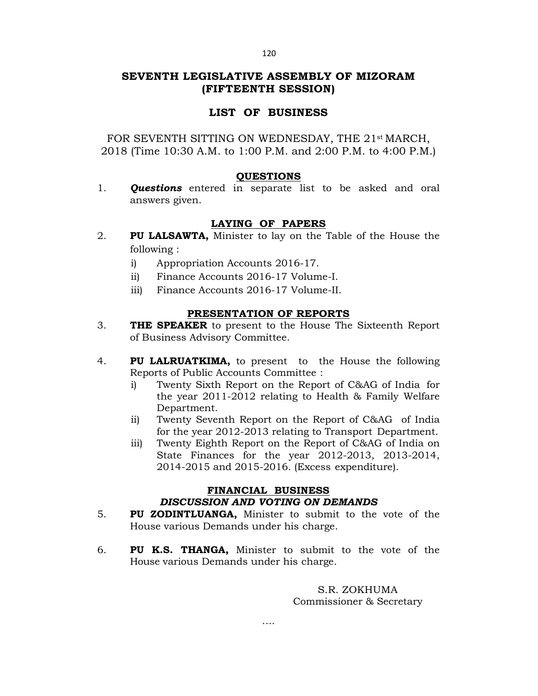#### 120

# **SEVENTH LEGISLATIVE ASSEMBLY OF MIZORAM (FIFTEENTH SESSION)**

# **LIST OF BUSINESS**

FOR SEVENTH SITTING ON WEDNESDAY, THE 21st MARCH, 2018 (Time 10:30 A.M. to 1:00 P.M. and 2:00 P.M. to 4:00 P.M.)

### **QUESTIONS**

1. *Questions* entered in separate list to be asked and oral answers given.

# **LAYING OF PAPERS**

- 2. **PU LALSAWTA,** Minister to lay on the Table of the House the following :
	- i) Appropriation Accounts 2016-17.
	- ii) Finance Accounts 2016-17 Volume-I.
	- iii) Finance Accounts 2016-17 Volume-II.

### **PRESENTATION OF REPORTS**

- 3. **THE SPEAKER** to present to the House The Sixteenth Report of Business Advisory Committee.
- 4. **PU LALRUATKIMA,** to present to the House the following Reports of Public Accounts Committee :
	- i) Twenty Sixth Report on the Report of C&AG of India for the year 2011-2012 relating to Health & Family Welfare Department.
	- ii) Twenty Seventh Report on the Report of C&AG of India for the year 2012-2013 relating to Transport Department.
	- iii) Twenty Eighth Report on the Report of C&AG of India on State Finances for the year 2012-2013, 2013-2014, 2014-2015 and 2015-2016. (Excess expenditure).

# **FINANCIAL BUSINESS** *DISCUSSION AND VOTING ON DEMANDS*

- 5. **PU ZODINTLUANGA,** Minister to submit to the vote of the House various Demands under his charge.
- 6. **PU K.S. THANGA,** Minister to submit to the vote of the House various Demands under his charge.

S.R. ZOKHUMA Commissioner & Secretary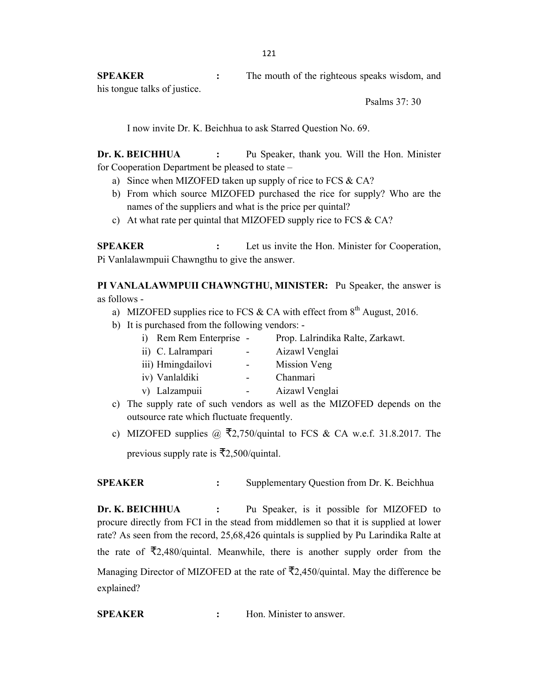**SPEAKER :** The mouth of the righteous speaks wisdom, and his tongue talks of justice.

Psalms 37: 30

I now invite Dr. K. Beichhua to ask Starred Question No. 69.

**Dr. K. BEICHHUA :** Pu Speaker, thank you. Will the Hon. Minister for Cooperation Department be pleased to state –

- a) Since when MIZOFED taken up supply of rice to FCS & CA?
- b) From which source MIZOFED purchased the rice for supply? Who are the names of the suppliers and what is the price per quintal?
- c) At what rate per quintal that MIZOFED supply rice to FCS & CA?

**SPEAKER :** Let us invite the Hon. Minister for Cooperation, Pi Vanlalawmpuii Chawngthu to give the answer.

**PI VANLALAWMPUII CHAWNGTHU, MINISTER:** Pu Speaker, the answer is as follows -

- a) MIZOFED supplies rice to FCS & CA with effect from  $8<sup>th</sup>$  August, 2016.
- b) It is purchased from the following vendors: -

| i) Rem Rem Enterprise - |                | Prop. Lalrindika Ralte, Zarkawt. |
|-------------------------|----------------|----------------------------------|
| ii) C. Lalrampari       | $\blacksquare$ | Aizawl Venglai                   |
| iii) Hmingdailovi       | $-$            | Mission Veng                     |
| iv) Vanlaldiki          |                | Chanmari                         |
| v) Lalzampuii           |                | Aizawl Venglai                   |
| $\sim$ $\sim$ $\sim$    |                |                                  |

- c) The supply rate of such vendors as well as the MIZOFED depends on the outsource rate which fluctuate frequently.
- c) MIZOFED supplies  $\omega$   $\bar{\xi}$ 2,750/quintal to FCS & CA w.e.f. 31.8.2017. The previous supply rate is  $\bar{\mathcal{F}}2,500$ /quintal.

**SPEAKER :** Supplementary Question from Dr. K. Beichhua

**Dr. K. BEICHHUA :** Pu Speaker, is it possible for MIZOFED to procure directly from FCI in the stead from middlemen so that it is supplied at lower rate? As seen from the record, 25,68,426 quintals is supplied by Pu Larindika Ralte at the rate of  $\overline{x}2,480$ /quintal. Meanwhile, there is another supply order from the Managing Director of MIZOFED at the rate of  $\overline{5}2.450$ /quintal. May the difference be explained?

**SPEAKER :** Hon. Minister to answer.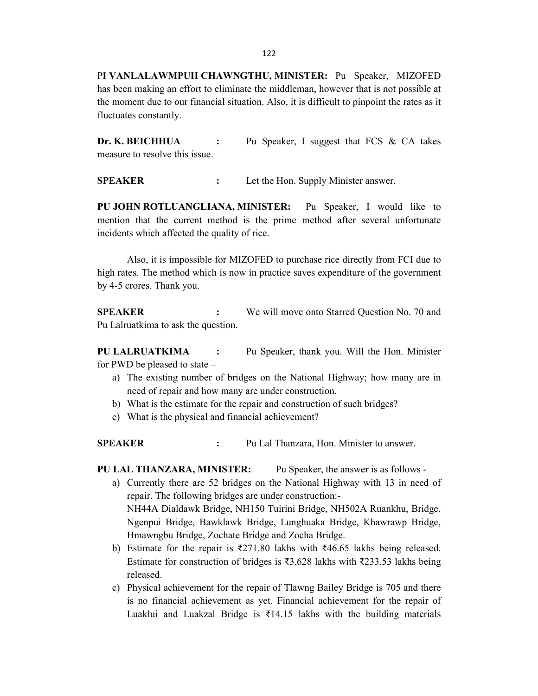P**I VANLALAWMPUII CHAWNGTHU, MINISTER:** Pu Speaker, MIZOFED has been making an effort to eliminate the middleman, however that is not possible at the moment due to our financial situation. Also, it is difficult to pinpoint the rates as it fluctuates constantly.

**Dr. K. BEICHHUA :** Pu Speaker, I suggest that FCS & CA takes measure to resolve this issue.

**SPEAKER :** Let the Hon. Supply Minister answer.

**PU JOHN ROTLUANGLIANA, MINISTER:** Pu Speaker, I would like to mention that the current method is the prime method after several unfortunate incidents which affected the quality of rice.

Also, it is impossible for MIZOFED to purchase rice directly from FCI due to high rates. The method which is now in practice saves expenditure of the government by 4-5 crores. Thank you.

**SPEAKER :** We will move onto Starred Question No. 70 and Pu Lalruatkima to ask the question.

**PU LALRUATKIMA :** Pu Speaker, thank you. Will the Hon. Minister for PWD be pleased to state –

- a) The existing number of bridges on the National Highway; how many are in need of repair and how many are under construction.
- b) What is the estimate for the repair and construction of such bridges?
- c) What is the physical and financial achievement?

**SPEAKER :** Pu Lal Thanzara, Hon. Minister to answer.

**PU LAL THANZARA, MINISTER:** Pu Speaker, the answer is as follows -

- a) Currently there are 52 bridges on the National Highway with 13 in need of repair. The following bridges are under construction:- NH44A Dialdawk Bridge, NH150 Tuirini Bridge, NH502A Ruankhu, Bridge, Ngenpui Bridge, Bawklawk Bridge, Lunghuaka Bridge, Khawrawp Bridge, Hmawngbu Bridge, Zochate Bridge and Zocha Bridge.
- b) Estimate for the repair is ₹271.80 lakhs with ₹46.65 lakhs being released. Estimate for construction of bridges is ₹3,628 lakhs with ₹233.53 lakhs being released.
- c) Physical achievement for the repair of Tlawng Bailey Bridge is 705 and there is no financial achievement as yet. Financial achievement for the repair of Luaklui and Luakzal Bridge is ₹14.15 lakhs with the building materials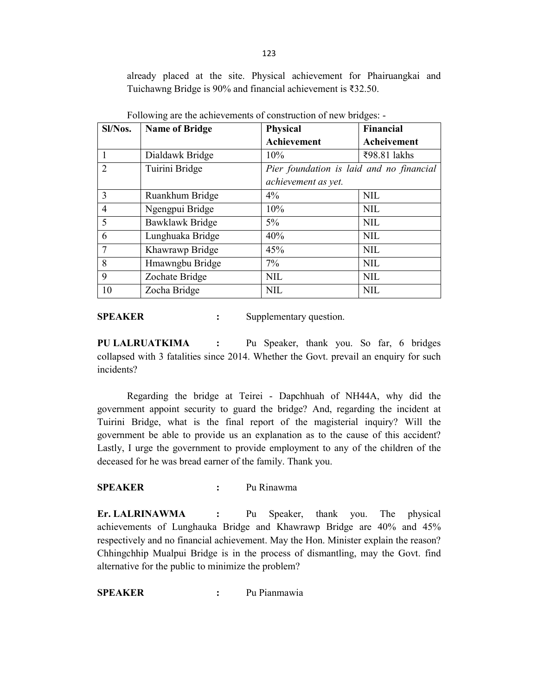already placed at the site. Physical achievement for Phairuangkai and Tuichawng Bridge is 90% and financial achievement is ₹32.50.

| Sl/Nos.        | <b>Name of Bridge</b> | <b>Physical</b>                          | Financial    |
|----------------|-----------------------|------------------------------------------|--------------|
|                |                       | <b>Achievement</b>                       | Acheivement  |
|                | Dialdawk Bridge       | $10\%$                                   | ₹98.81 lakhs |
| $\overline{2}$ | Tuirini Bridge        | Pier foundation is laid and no financial |              |
|                |                       | achievement as yet.                      |              |
| 3              | Ruankhum Bridge       | $4\%$                                    | <b>NIL</b>   |
| $\overline{4}$ | Ngengpui Bridge       | 10%                                      | <b>NIL</b>   |
| 5              | Bawklawk Bridge       | $5\%$                                    | <b>NIL</b>   |
| 6              | Lunghuaka Bridge      | 40%                                      | <b>NIL</b>   |
| 7              | Khawrawp Bridge       | 45%                                      | <b>NIL</b>   |
| 8              | Hmawngbu Bridge       | $7\%$                                    | <b>NIL</b>   |
| 9              | Zochate Bridge        | <b>NIL</b>                               | <b>NIL</b>   |
| 10             | Zocha Bridge          | <b>NIL</b>                               | <b>NIL</b>   |

Following are the achievements of construction of new bridges: -

**SPEAKER** : Supplementary question.

**PU LALRUATKIMA :** Pu Speaker, thank you. So far, 6 bridges collapsed with 3 fatalities since 2014. Whether the Govt. prevail an enquiry for such incidents?

Regarding the bridge at Teirei - Dapchhuah of NH44A, why did the government appoint security to guard the bridge? And, regarding the incident at Tuirini Bridge, what is the final report of the magisterial inquiry? Will the government be able to provide us an explanation as to the cause of this accident? Lastly, I urge the government to provide employment to any of the children of the deceased for he was bread earner of the family. Thank you.

### **SPEAKER :** Pu Rinawma

**Er. LALRINAWMA :** Pu Speaker, thank you. The physical achievements of Lunghauka Bridge and Khawrawp Bridge are 40% and 45% respectively and no financial achievement. May the Hon. Minister explain the reason? Chhingchhip Mualpui Bridge is in the process of dismantling, may the Govt. find alternative for the public to minimize the problem?

**SPEAKER :** Pu Pianmawia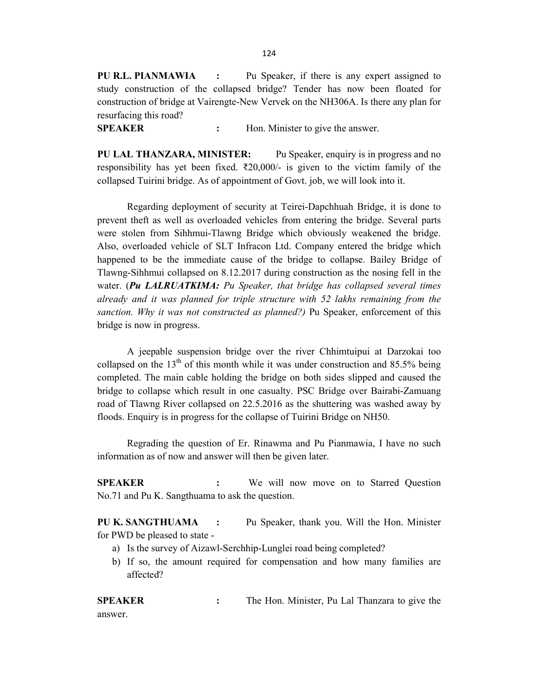124

**PU R.L. PIANMAWIA :** Pu Speaker, if there is any expert assigned to study construction of the collapsed bridge? Tender has now been floated for construction of bridge at Vairengte-New Vervek on the NH306A. Is there any plan for resurfacing this road?

**SPEAKER :** Hon. Minister to give the answer.

**PU LAL THANZARA, MINISTER:** Pu Speaker, enquiry is in progress and no responsibility has yet been fixed. ₹20,000/- is given to the victim family of the collapsed Tuirini bridge. As of appointment of Govt. job, we will look into it.

Regarding deployment of security at Teirei-Dapchhuah Bridge, it is done to prevent theft as well as overloaded vehicles from entering the bridge. Several parts were stolen from Sihhmui-Tlawng Bridge which obviously weakened the bridge. Also, overloaded vehicle of SLT Infracon Ltd. Company entered the bridge which happened to be the immediate cause of the bridge to collapse. Bailey Bridge of Tlawng-Sihhmui collapsed on 8.12.2017 during construction as the nosing fell in the water. (*Pu LALRUATKIMA: Pu Speaker, that bridge has collapsed several times already and it was planned for triple structure with 52 lakhs remaining from the sanction. Why it was not constructed as planned?)* Pu Speaker, enforcement of this bridge is now in progress.

A jeepable suspension bridge over the river Chhimtuipui at Darzokai too collapsed on the  $13<sup>th</sup>$  of this month while it was under construction and 85.5% being completed. The main cable holding the bridge on both sides slipped and caused the bridge to collapse which result in one casualty. PSC Bridge over Bairabi-Zamuang road of Tlawng River collapsed on 22.5.2016 as the shuttering was washed away by floods. Enquiry is in progress for the collapse of Tuirini Bridge on NH50.

Regrading the question of Er. Rinawma and Pu Pianmawia, I have no such information as of now and answer will then be given later.

**SPEAKER :** We will now move on to Starred Question No.71 and Pu K. Sangthuama to ask the question.

**PU K. SANGTHUAMA :** Pu Speaker, thank you. Will the Hon. Minister for PWD be pleased to state -

- a) Is the survey of Aizawl-Serchhip-Lunglei road being completed?
- b) If so, the amount required for compensation and how many families are affected?

**SPEAKER :** The Hon. Minister, Pu Lal Thanzara to give the answer.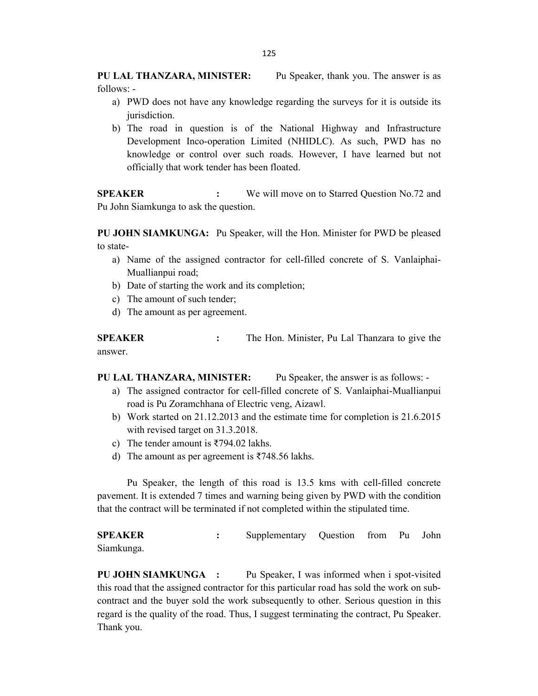**PU LAL THANZARA, MINISTER:** Pu Speaker, thank you. The answer is as follows: -

- a) PWD does not have any knowledge regarding the surveys for it is outside its jurisdiction.
- b) The road in question is of the National Highway and Infrastructure Development Inco-operation Limited (NHIDLC). As such, PWD has no knowledge or control over such roads. However, I have learned but not officially that work tender has been floated.

**SPEAKER :** We will move on to Starred Question No.72 and Pu John Siamkunga to ask the question.

**PU JOHN SIAMKUNGA:** Pu Speaker, will the Hon. Minister for PWD be pleased to state-

- a) Name of the assigned contractor for cell-filled concrete of S. Vanlaiphai-Muallianpui road;
- b) Date of starting the work and its completion;
- c) The amount of such tender;
- d) The amount as per agreement.

**SPEAKER :** The Hon. Minister, Pu Lal Thanzara to give the answer.

**PU LAL THANZARA, MINISTER:** Pu Speaker, the answer is as follows: -

- a) The assigned contractor for cell-filled concrete of S. Vanlaiphai-Muallianpui road is Pu Zoramchhana of Electric veng, Aizawl.
- b) Work started on 21.12.2013 and the estimate time for completion is 21.6.2015 with revised target on 31.3.2018.
- c) The tender amount is  $\overline{5794.02}$  lakhs.
- d) The amount as per agreement is ₹748.56 lakhs.

Pu Speaker, the length of this road is 13.5 kms with cell-filled concrete pavement. It is extended 7 times and warning being given by PWD with the condition that the contract will be terminated if not completed within the stipulated time.

**SPEAKER :** Supplementary Question from Pu John Siamkunga.

**PU JOHN SIAMKUNGA :** Pu Speaker, I was informed when i spot-visited this road that the assigned contractor for this particular road has sold the work on subcontract and the buyer sold the work subsequently to other. Serious question in this regard is the quality of the road. Thus, I suggest terminating the contract, Pu Speaker. Thank you.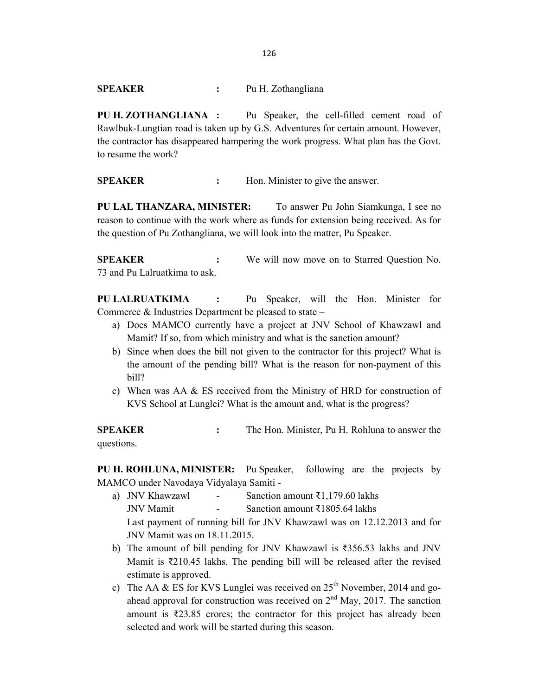**PU H. ZOTHANGLIANA :** Pu Speaker, the cell-filled cement road of Rawlbuk-Lungtian road is taken up by G.S. Adventures for certain amount. However, the contractor has disappeared hampering the work progress. What plan has the Govt. to resume the work?

**SPEAKER :** Hon. Minister to give the answer.

**PU LAL THANZARA, MINISTER:** To answer Pu John Siamkunga, I see no reason to continue with the work where as funds for extension being received. As for the question of Pu Zothangliana, we will look into the matter, Pu Speaker.

**SPEAKER :** We will now move on to Starred Question No. 73 and Pu Lalruatkima to ask.

**PU LALRUATKIMA :** Pu Speaker, will the Hon. Minister for Commerce & Industries Department be pleased to state –

- a) Does MAMCO currently have a project at JNV School of Khawzawl and Mamit? If so, from which ministry and what is the sanction amount?
- b) Since when does the bill not given to the contractor for this project? What is the amount of the pending bill? What is the reason for non-payment of this bill?
- c) When was AA & ES received from the Ministry of HRD for construction of KVS School at Lunglei? What is the amount and, what is the progress?

**SPEAKER :** The Hon. Minister, Pu H. Rohluna to answer the questions.

**PU H. ROHLUNA, MINISTER:** Pu Speaker, following are the projects by MAMCO under Navodaya Vidyalaya Samiti -

- a) JNV Khawzawl Sanction amount  $\bar{\tau}$ 1,179.60 lakhs JNV Mamit - Sanction amount  $\overline{3}1805.64$  lakhs Last payment of running bill for JNV Khawzawl was on 12.12.2013 and for JNV Mamit was on 18.11.2015.
- b) The amount of bill pending for JNV Khawzawl is ₹356.53 lakhs and JNV Mamit is ₹210.45 lakhs. The pending bill will be released after the revised estimate is approved.
- c) The AA & ES for KVS Lunglei was received on  $25<sup>th</sup>$  November, 2014 and goahead approval for construction was received on  $2<sup>nd</sup>$  May, 2017. The sanction amount is ₹23.85 crores; the contractor for this project has already been selected and work will be started during this season.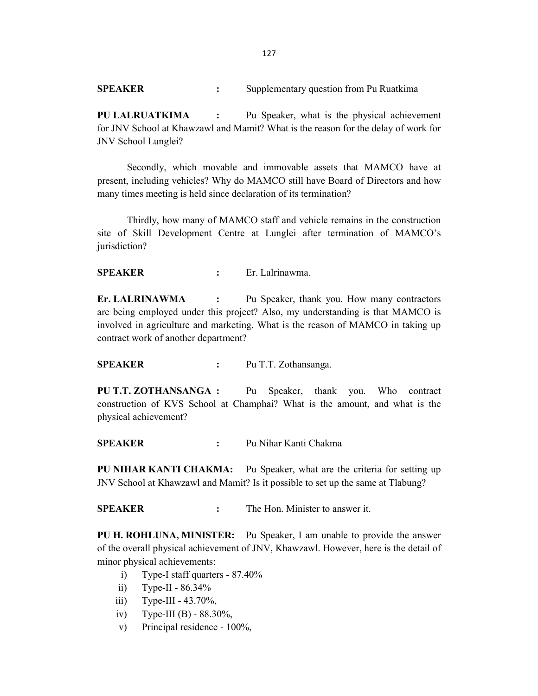**SPEAKER :** Supplementary question from Pu Ruatkima

**PU LALRUATKIMA :** Pu Speaker, what is the physical achievement for JNV School at Khawzawl and Mamit? What is the reason for the delay of work for JNV School Lunglei?

Secondly, which movable and immovable assets that MAMCO have at present, including vehicles? Why do MAMCO still have Board of Directors and how many times meeting is held since declaration of its termination?

Thirdly, how many of MAMCO staff and vehicle remains in the construction site of Skill Development Centre at Lunglei after termination of MAMCO's jurisdiction?

**SPEAKER :** Er. Lalrinawma.

**Er. LALRINAWMA :** Pu Speaker, thank you. How many contractors are being employed under this project? Also, my understanding is that MAMCO is involved in agriculture and marketing. What is the reason of MAMCO in taking up contract work of another department?

**SPEAKER :** Pu T.T. Zothansanga.

**PU T.T. ZOTHANSANGA :** Pu Speaker, thank you. Who contract construction of KVS School at Champhai? What is the amount, and what is the physical achievement?

**SPEAKER :** Pu Nihar Kanti Chakma

**PU NIHAR KANTI CHAKMA:** Pu Speaker, what are the criteria for setting up JNV School at Khawzawl and Mamit? Is it possible to set up the same at Tlabung?

**SPEAKER :** The Hon. Minister to answer it.

**PU H. ROHLUNA, MINISTER:** Pu Speaker, I am unable to provide the answer of the overall physical achievement of JNV, Khawzawl. However, here is the detail of minor physical achievements:

- i) Type-I staff quarters 87.40%
- ii) Type-II  $86.34\%$
- iii) Type-III 43.70%,
- iv) Type-III (B) 88.30%,
- v) Principal residence 100%,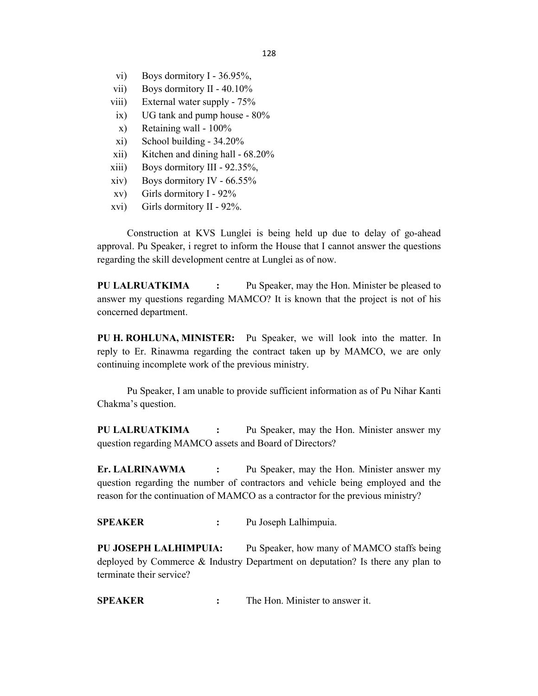- vi) Boys dormitory I 36.95%,
- vii) Boys dormitory II 40.10%
- viii) External water supply 75%
- ix) UG tank and pump house 80%
- x) Retaining wall 100%
- xi) School building 34.20%
- xii) Kitchen and dining hall 68.20%
- xiii) Boys dormitory III 92.35%,
- xiv) Boys dormitory IV 66.55%
- xv) Girls dormitory I 92%
- xvi) Girls dormitory II 92%.

Construction at KVS Lunglei is being held up due to delay of go-ahead approval. Pu Speaker, i regret to inform the House that I cannot answer the questions regarding the skill development centre at Lunglei as of now.

**PU LALRUATKIMA :** Pu Speaker, may the Hon. Minister be pleased to answer my questions regarding MAMCO? It is known that the project is not of his concerned department.

**PU H. ROHLUNA, MINISTER:** Pu Speaker, we will look into the matter. In reply to Er. Rinawma regarding the contract taken up by MAMCO, we are only continuing incomplete work of the previous ministry.

Pu Speaker, I am unable to provide sufficient information as of Pu Nihar Kanti Chakma's question.

**PU LALRUATKIMA :** Pu Speaker, may the Hon. Minister answer my question regarding MAMCO assets and Board of Directors?

**Er. LALRINAWMA :** Pu Speaker, may the Hon. Minister answer my question regarding the number of contractors and vehicle being employed and the reason for the continuation of MAMCO as a contractor for the previous ministry?

**SPEAKER :** Pu Joseph Lalhimpuia.

**PU JOSEPH LALHIMPUIA:** Pu Speaker, how many of MAMCO staffs being deployed by Commerce & Industry Department on deputation? Is there any plan to terminate their service?

**SPEAKER :** The Hon. Minister to answer it.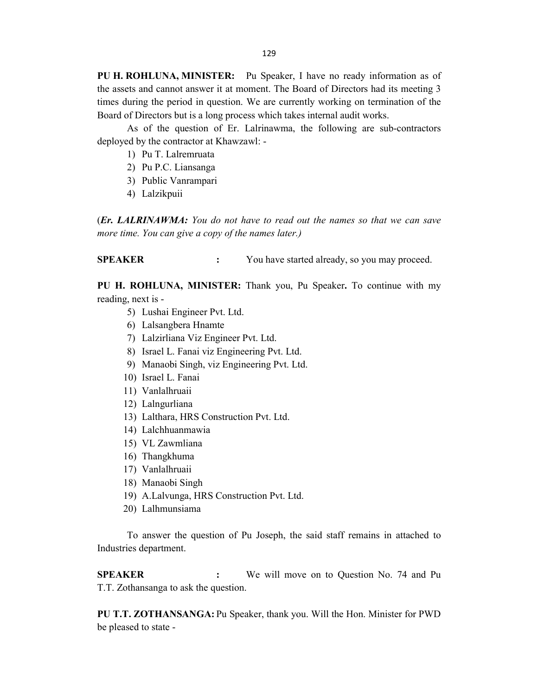**PU H. ROHLUNA, MINISTER:** Pu Speaker, I have no ready information as of the assets and cannot answer it at moment. The Board of Directors had its meeting 3 times during the period in question. We are currently working on termination of the Board of Directors but is a long process which takes internal audit works.

As of the question of Er. Lalrinawma, the following are sub-contractors deployed by the contractor at Khawzawl: -

- 1) Pu T. Lalremruata
- 2) Pu P.C. Liansanga
- 3) Public Vanrampari
- 4) Lalzikpuii

(*Er. LALRINAWMA: You do not have to read out the names so that we can save more time. You can give a copy of the names later.)*

**SPEAKER :** You have started already, so you may proceed.

**PU H. ROHLUNA, MINISTER:** Thank you, Pu Speaker**.** To continue with my reading, next is -

- 5) Lushai Engineer Pvt. Ltd.
- 6) Lalsangbera Hnamte
- 7) Lalzirliana Viz Engineer Pvt. Ltd.
- 8) Israel L. Fanai viz Engineering Pvt. Ltd.
- 9) Manaobi Singh, viz Engineering Pvt. Ltd.
- 10) Israel L. Fanai
- 11) Vanlalhruaii
- 12) Lalngurliana
- 13) Lalthara, HRS Construction Pvt. Ltd.
- 14) Lalchhuanmawia
- 15) VL Zawmliana
- 16) Thangkhuma
- 17) Vanlalhruaii
- 18) Manaobi Singh
- 19) A.Lalvunga, HRS Construction Pvt. Ltd.
- 20) Lalhmunsiama

To answer the question of Pu Joseph, the said staff remains in attached to Industries department.

**SPEAKER :** We will move on to Question No. 74 and Pu T.T. Zothansanga to ask the question.

**PU T.T. ZOTHANSANGA:** Pu Speaker, thank you. Will the Hon. Minister for PWD be pleased to state -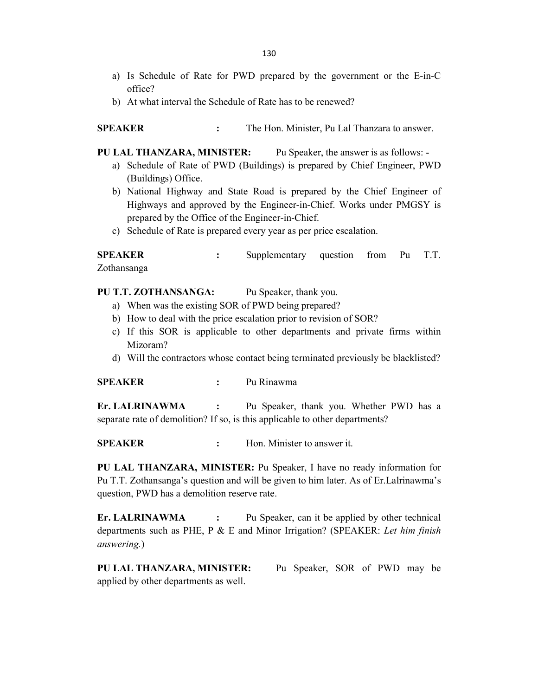- a) Is Schedule of Rate for PWD prepared by the government or the E-in-C office?
- b) At what interval the Schedule of Rate has to be renewed?

**SPEAKER :** The Hon. Minister, Pu Lal Thanzara to answer.

**PU LAL THANZARA, MINISTER:** Pu Speaker, the answer is as follows: -

- a) Schedule of Rate of PWD (Buildings) is prepared by Chief Engineer, PWD (Buildings) Office.
- b) National Highway and State Road is prepared by the Chief Engineer of Highways and approved by the Engineer-in-Chief. Works under PMGSY is prepared by the Office of the Engineer-in-Chief.
- c) Schedule of Rate is prepared every year as per price escalation.

**SPEAKER :** Supplementary question from Pu T.T. Zothansanga

**PU T.T. ZOTHANSANGA:** Pu Speaker, thank you.

- a) When was the existing SOR of PWD being prepared?
- b) How to deal with the price escalation prior to revision of SOR?
- c) If this SOR is applicable to other departments and private firms within Mizoram?
- d) Will the contractors whose contact being terminated previously be blacklisted?

**SPEAKER :** Pu Rinawma

**Er. LALRINAWMA :** Pu Speaker, thank you. Whether PWD has a separate rate of demolition? If so, is this applicable to other departments?

**SPEAKER :** Hon. Minister to answer it.

**PU LAL THANZARA, MINISTER:** Pu Speaker, I have no ready information for Pu T.T. Zothansanga's question and will be given to him later. As of Er.Lalrinawma's question, PWD has a demolition reserve rate.

**Er. LALRINAWMA :** Pu Speaker, can it be applied by other technical departments such as PHE, P & E and Minor Irrigation? (SPEAKER: *Let him finish answering.*)

**PU LAL THANZARA, MINISTER:** Pu Speaker, SOR of PWD may be applied by other departments as well.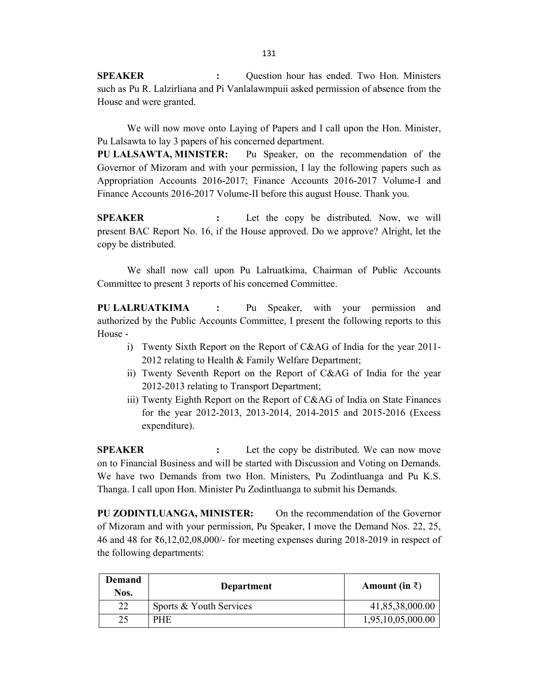**SPEAKER** : Question hour has ended. Two Hon. Ministers such as Pu R. Lalzirliana and Pi Vanlalawmpuii asked permission of absence from the House and were granted.

We will now move onto Laying of Papers and I call upon the Hon. Minister, Pu Lalsawta to lay 3 papers of his concerned department.

**PU LALSAWTA, MINISTER:** Pu Speaker, on the recommendation of the Governor of Mizoram and with your permission, I lay the following papers such as Appropriation Accounts 2016-2017; Finance Accounts 2016-2017 Volume-I and Finance Accounts 2016-2017 Volume-II before this august House. Thank you.

**SPEAKER :** Let the copy be distributed. Now, we will present BAC Report No. 16, if the House approved. Do we approve? Alright, let the copy be distributed.

We shall now call upon Pu Lalruatkima, Chairman of Public Accounts Committee to present 3 reports of his concerned Committee.

**PU LALRUATKIMA :** Pu Speaker, with your permission and authorized by the Public Accounts Committee, I present the following reports to this House -

- i) Twenty Sixth Report on the Report of C&AG of India for the year 2011- 2012 relating to Health & Family Welfare Department;
- ii) Twenty Seventh Report on the Report of C&AG of India for the year 2012-2013 relating to Transport Department;
- iii) Twenty Eighth Report on the Report of C&AG of India on State Finances for the year 2012-2013, 2013-2014, 2014-2015 and 2015-2016 (Excess expenditure).

**SPEAKER :** Let the copy be distributed. We can now move on to Financial Business and will be started with Discussion and Voting on Demands. We have two Demands from two Hon. Ministers, Pu Zodintluanga and Pu K.S. Thanga. I call upon Hon. Minister Pu Zodintluanga to submit his Demands.

**PU ZODINTLUANGA, MINISTER:** On the recommendation of the Governor of Mizoram and with your permission, Pu Speaker, I move the Demand Nos. 22, 25, 46 and 48 for ₹6,12,02,08,000/- for meeting expenses during 2018-2019 in respect of the following departments:

| <b>Demand</b><br>Nos. | Department              | Amount (in $\bar{z}$ ) |
|-----------------------|-------------------------|------------------------|
| 22                    | Sports & Youth Services | 41,85,38,000.00        |
| 25                    | <b>PHE</b>              | 1,95,10,05,000.00      |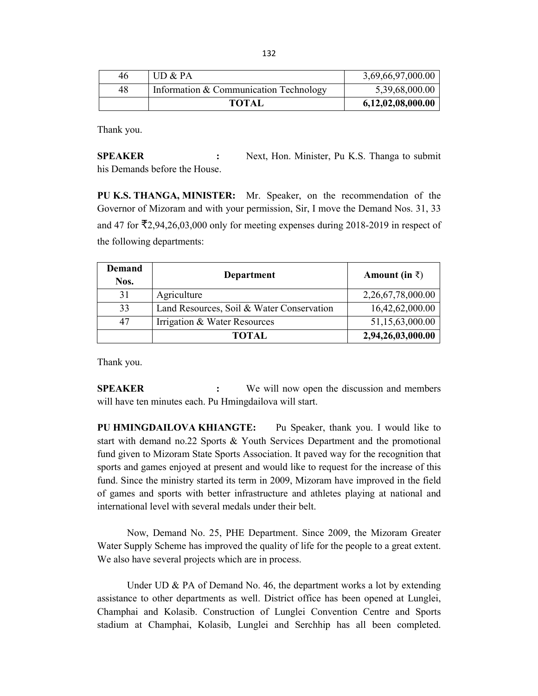| 46 | UD & PA                                | 3,69,66,97,000.00 |
|----|----------------------------------------|-------------------|
| 48 | Information & Communication Technology | 5,39,68,000.00    |
|    | <b>TOTAL</b>                           | 6,12,02,08,000.00 |

Thank you.

**SPEAKER :** Next, Hon. Minister, Pu K.S. Thanga to submit his Demands before the House.

**PU K.S. THANGA, MINISTER:** Mr. Speaker, on the recommendation of the Governor of Mizoram and with your permission, Sir, I move the Demand Nos. 31, 33 and 47 for ₹2,94,26,03,000 only for meeting expenses during 2018-2019 in respect of the following departments:

| <b>Demand</b><br>Nos. | Department                                | Amount (in $\bar{z}$ ) |
|-----------------------|-------------------------------------------|------------------------|
| 31                    | Agriculture                               | 2,26,67,78,000.00      |
| 33                    | Land Resources, Soil & Water Conservation | 16,42,62,000.00        |
| 47                    | Irrigation & Water Resources              | 51,15,63,000.00        |
|                       | <b>TOTAL</b>                              | 2,94,26,03,000.00      |

Thank you.

**SPEAKER :** We will now open the discussion and members will have ten minutes each. Pu Hmingdailova will start.

**PU HMINGDAILOVA KHIANGTE:** Pu Speaker, thank you. I would like to start with demand no.22 Sports & Youth Services Department and the promotional fund given to Mizoram State Sports Association. It paved way for the recognition that sports and games enjoyed at present and would like to request for the increase of this fund. Since the ministry started its term in 2009, Mizoram have improved in the field of games and sports with better infrastructure and athletes playing at national and international level with several medals under their belt.

Now, Demand No. 25, PHE Department. Since 2009, the Mizoram Greater Water Supply Scheme has improved the quality of life for the people to a great extent. We also have several projects which are in process.

Under UD & PA of Demand No. 46, the department works a lot by extending assistance to other departments as well. District office has been opened at Lunglei, Champhai and Kolasib. Construction of Lunglei Convention Centre and Sports stadium at Champhai, Kolasib, Lunglei and Serchhip has all been completed.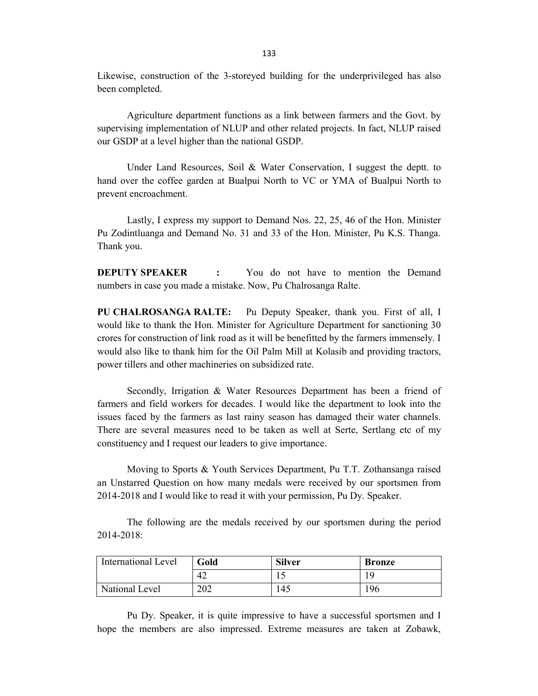Likewise, construction of the 3-storeyed building for the underprivileged has also been completed.

Agriculture department functions as a link between farmers and the Govt. by supervising implementation of NLUP and other related projects. In fact, NLUP raised our GSDP at a level higher than the national GSDP.

Under Land Resources, Soil & Water Conservation, I suggest the deptt. to hand over the coffee garden at Bualpui North to VC or YMA of Bualpui North to prevent encroachment.

Lastly, I express my support to Demand Nos. 22, 25, 46 of the Hon. Minister Pu Zodintluanga and Demand No. 31 and 33 of the Hon. Minister, Pu K.S. Thanga. Thank you.

**DEPUTY SPEAKER :** You do not have to mention the Demand numbers in case you made a mistake. Now, Pu Chalrosanga Ralte.

**PU CHALROSANGA RALTE:** Pu Deputy Speaker, thank you. First of all, I would like to thank the Hon. Minister for Agriculture Department for sanctioning 30 crores for construction of link road as it will be benefitted by the farmers immensely. I would also like to thank him for the Oil Palm Mill at Kolasib and providing tractors, power tillers and other machineries on subsidized rate.

Secondly, Irrigation & Water Resources Department has been a friend of farmers and field workers for decades. I would like the department to look into the issues faced by the farmers as last rainy season has damaged their water channels. There are several measures need to be taken as well at Serte, Sertlang etc of my constituency and I request our leaders to give importance.

Moving to Sports & Youth Services Department, Pu T.T. Zothansanga raised an Unstarred Question on how many medals were received by our sportsmen from 2014-2018 and I would like to read it with your permission, Pu Dy. Speaker.

The following are the medals received by our sportsmen during the period 2014-2018:

| International Level | Gold | <b>Silver</b> | <b>Bronze</b> |
|---------------------|------|---------------|---------------|
|                     | 42   |               |               |
| National Level      | 202  | 145           | 196           |

Pu Dy. Speaker, it is quite impressive to have a successful sportsmen and I hope the members are also impressed. Extreme measures are taken at Zobawk,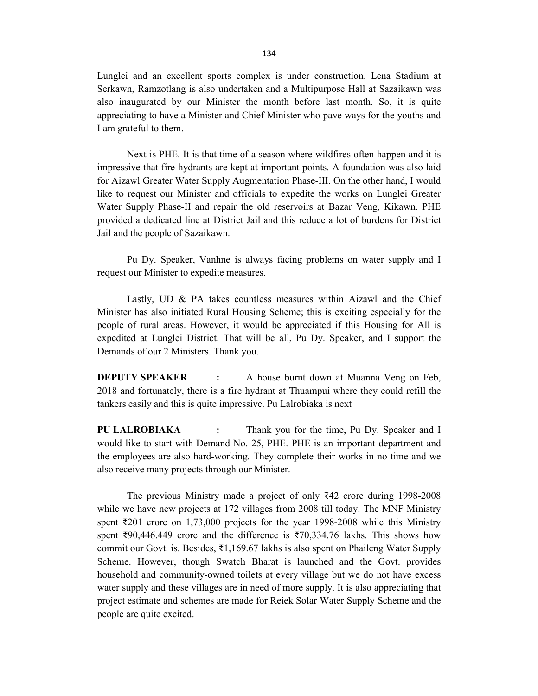Lunglei and an excellent sports complex is under construction. Lena Stadium at Serkawn, Ramzotlang is also undertaken and a Multipurpose Hall at Sazaikawn was also inaugurated by our Minister the month before last month. So, it is quite appreciating to have a Minister and Chief Minister who pave ways for the youths and I am grateful to them.

Next is PHE. It is that time of a season where wildfires often happen and it is impressive that fire hydrants are kept at important points. A foundation was also laid for Aizawl Greater Water Supply Augmentation Phase-III. On the other hand, I would like to request our Minister and officials to expedite the works on Lunglei Greater Water Supply Phase-II and repair the old reservoirs at Bazar Veng, Kikawn. PHE provided a dedicated line at District Jail and this reduce a lot of burdens for District Jail and the people of Sazaikawn.

Pu Dy. Speaker, Vanhne is always facing problems on water supply and I request our Minister to expedite measures.

Lastly, UD & PA takes countless measures within Aizawl and the Chief Minister has also initiated Rural Housing Scheme; this is exciting especially for the people of rural areas. However, it would be appreciated if this Housing for All is expedited at Lunglei District. That will be all, Pu Dy. Speaker, and I support the Demands of our 2 Ministers. Thank you.

**DEPUTY SPEAKER :** A house burnt down at Muanna Veng on Feb, 2018 and fortunately, there is a fire hydrant at Thuampui where they could refill the tankers easily and this is quite impressive. Pu Lalrobiaka is next

**PU LALROBIAKA :** Thank you for the time, Pu Dy. Speaker and I would like to start with Demand No. 25, PHE. PHE is an important department and the employees are also hard-working. They complete their works in no time and we also receive many projects through our Minister.

The previous Ministry made a project of only ₹42 crore during 1998-2008 while we have new projects at 172 villages from 2008 till today. The MNF Ministry spent ₹201 crore on 1,73,000 projects for the year 1998-2008 while this Ministry spent ₹90,446.449 crore and the difference is ₹70,334.76 lakhs. This shows how commit our Govt. is. Besides, ₹1,169.67 lakhs is also spent on Phaileng Water Supply Scheme. However, though Swatch Bharat is launched and the Govt. provides household and community-owned toilets at every village but we do not have excess water supply and these villages are in need of more supply. It is also appreciating that project estimate and schemes are made for Reiek Solar Water Supply Scheme and the people are quite excited.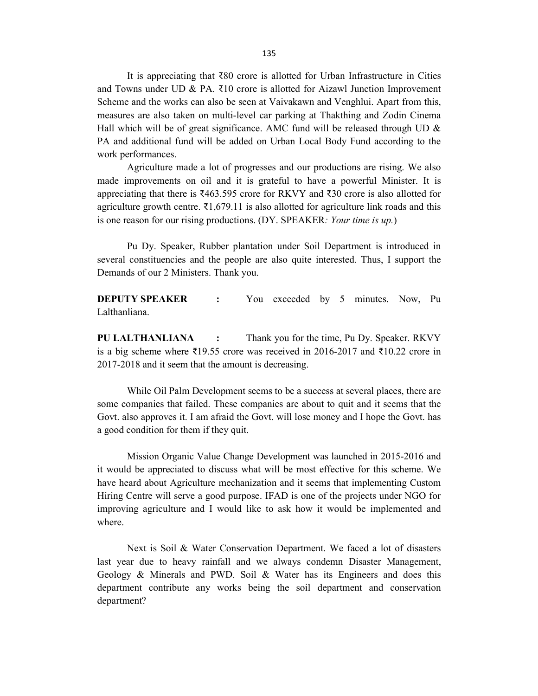It is appreciating that ₹80 crore is allotted for Urban Infrastructure in Cities and Towns under UD & PA. ₹10 crore is allotted for Aizawl Junction Improvement Scheme and the works can also be seen at Vaivakawn and Venghlui. Apart from this, measures are also taken on multi-level car parking at Thakthing and Zodin Cinema Hall which will be of great significance. AMC fund will be released through UD  $\&$ PA and additional fund will be added on Urban Local Body Fund according to the work performances.

Agriculture made a lot of progresses and our productions are rising. We also made improvements on oil and it is grateful to have a powerful Minister. It is appreciating that there is ₹463.595 crore for RKVY and ₹30 crore is also allotted for agriculture growth centre.  $\bar{\xi}$ 1,679.11 is also allotted for agriculture link roads and this is one reason for our rising productions. (DY. SPEAKER*: Your time is up.*)

Pu Dy. Speaker, Rubber plantation under Soil Department is introduced in several constituencies and the people are also quite interested. Thus, I support the Demands of our 2 Ministers. Thank you.

**DEPUTY SPEAKER :** You exceeded by 5 minutes. Now, Pu Lalthanliana.

**PU LALTHANLIANA :** Thank you for the time, Pu Dy. Speaker. RKVY is a big scheme where ₹19.55 crore was received in 2016-2017 and ₹10.22 crore in 2017-2018 and it seem that the amount is decreasing.

While Oil Palm Development seems to be a success at several places, there are some companies that failed. These companies are about to quit and it seems that the Govt. also approves it. I am afraid the Govt. will lose money and I hope the Govt. has a good condition for them if they quit.

Mission Organic Value Change Development was launched in 2015-2016 and it would be appreciated to discuss what will be most effective for this scheme. We have heard about Agriculture mechanization and it seems that implementing Custom Hiring Centre will serve a good purpose. IFAD is one of the projects under NGO for improving agriculture and I would like to ask how it would be implemented and where.

Next is Soil & Water Conservation Department. We faced a lot of disasters last year due to heavy rainfall and we always condemn Disaster Management, Geology & Minerals and PWD. Soil & Water has its Engineers and does this department contribute any works being the soil department and conservation department?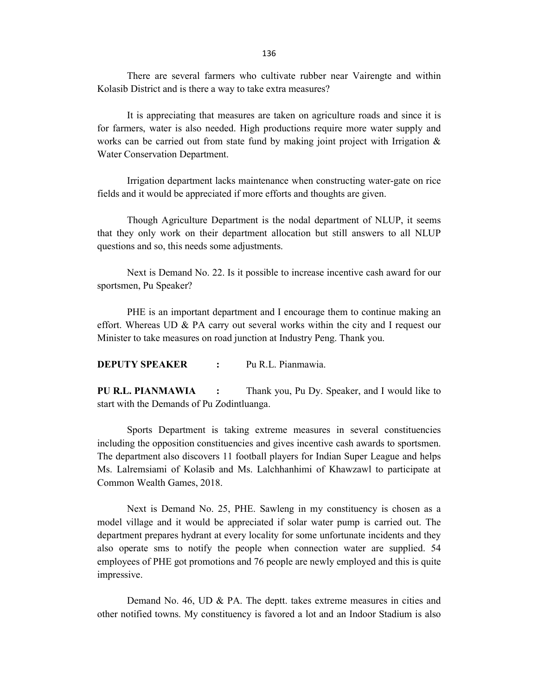136

There are several farmers who cultivate rubber near Vairengte and within Kolasib District and is there a way to take extra measures?

It is appreciating that measures are taken on agriculture roads and since it is for farmers, water is also needed. High productions require more water supply and works can be carried out from state fund by making joint project with Irrigation  $\&$ Water Conservation Department.

Irrigation department lacks maintenance when constructing water-gate on rice fields and it would be appreciated if more efforts and thoughts are given.

Though Agriculture Department is the nodal department of NLUP, it seems that they only work on their department allocation but still answers to all NLUP questions and so, this needs some adjustments.

Next is Demand No. 22. Is it possible to increase incentive cash award for our sportsmen, Pu Speaker?

PHE is an important department and I encourage them to continue making an effort. Whereas UD  $\&$  PA carry out several works within the city and I request our Minister to take measures on road junction at Industry Peng. Thank you.

**DEPUTY SPEAKER :** Pu R.L. Pianmawia.

**PU R.L. PIANMAWIA :** Thank you, Pu Dy. Speaker, and I would like to start with the Demands of Pu Zodintluanga.

Sports Department is taking extreme measures in several constituencies including the opposition constituencies and gives incentive cash awards to sportsmen. The department also discovers 11 football players for Indian Super League and helps Ms. Lalremsiami of Kolasib and Ms. Lalchhanhimi of Khawzawl to participate at Common Wealth Games, 2018.

Next is Demand No. 25, PHE. Sawleng in my constituency is chosen as a model village and it would be appreciated if solar water pump is carried out. The department prepares hydrant at every locality for some unfortunate incidents and they also operate sms to notify the people when connection water are supplied. 54 employees of PHE got promotions and 76 people are newly employed and this is quite impressive.

Demand No. 46, UD & PA. The deptt. takes extreme measures in cities and other notified towns. My constituency is favored a lot and an Indoor Stadium is also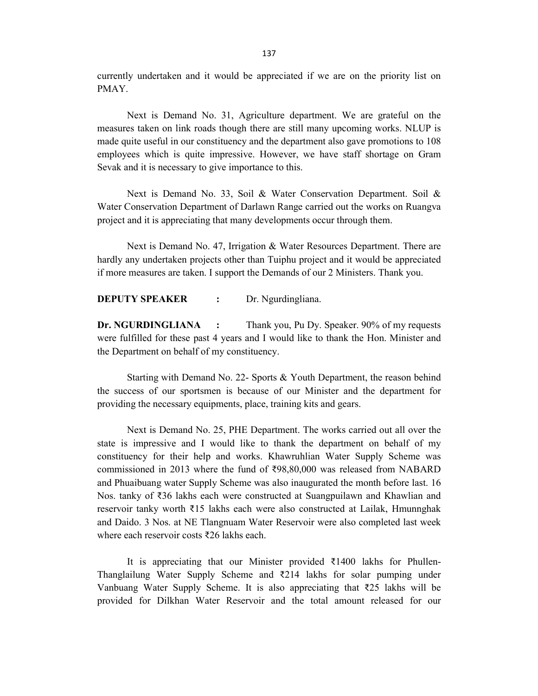currently undertaken and it would be appreciated if we are on the priority list on PMAY.

Next is Demand No. 31, Agriculture department. We are grateful on the measures taken on link roads though there are still many upcoming works. NLUP is made quite useful in our constituency and the department also gave promotions to 108 employees which is quite impressive. However, we have staff shortage on Gram Sevak and it is necessary to give importance to this.

Next is Demand No. 33, Soil & Water Conservation Department. Soil & Water Conservation Department of Darlawn Range carried out the works on Ruangva project and it is appreciating that many developments occur through them.

Next is Demand No. 47, Irrigation & Water Resources Department. There are hardly any undertaken projects other than Tuiphu project and it would be appreciated if more measures are taken. I support the Demands of our 2 Ministers. Thank you.

**DEPUTY SPEAKER :** Dr. Ngurdingliana.

**Dr. NGURDINGLIANA :** Thank you, Pu Dy. Speaker. 90% of my requests were fulfilled for these past 4 years and I would like to thank the Hon. Minister and the Department on behalf of my constituency.

Starting with Demand No. 22- Sports & Youth Department, the reason behind the success of our sportsmen is because of our Minister and the department for providing the necessary equipments, place, training kits and gears.

Next is Demand No. 25, PHE Department. The works carried out all over the state is impressive and I would like to thank the department on behalf of my constituency for their help and works. Khawruhlian Water Supply Scheme was commissioned in 2013 where the fund of ₹98,80,000 was released from NABARD and Phuaibuang water Supply Scheme was also inaugurated the month before last. 16 Nos. tanky of ₹36 lakhs each were constructed at Suangpuilawn and Khawlian and reservoir tanky worth ₹15 lakhs each were also constructed at Lailak, Hmunnghak and Daido. 3 Nos. at NE Tlangnuam Water Reservoir were also completed last week where each reservoir costs ₹26 lakhs each.

It is appreciating that our Minister provided ₹1400 lakhs for Phullen-Thanglailung Water Supply Scheme and ₹214 lakhs for solar pumping under Vanbuang Water Supply Scheme. It is also appreciating that ₹25 lakhs will be provided for Dilkhan Water Reservoir and the total amount released for our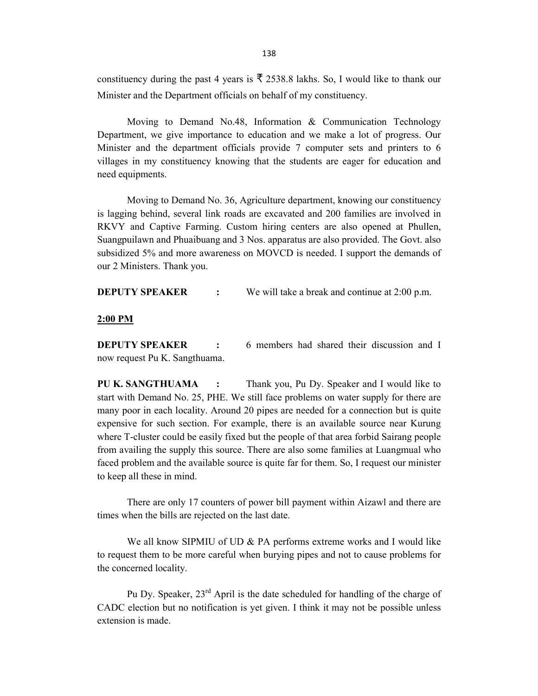constituency during the past 4 years is  $\bar{\xi}$  2538.8 lakhs. So, I would like to thank our Minister and the Department officials on behalf of my constituency.

Moving to Demand No.48, Information & Communication Technology Department, we give importance to education and we make a lot of progress. Our Minister and the department officials provide 7 computer sets and printers to 6 villages in my constituency knowing that the students are eager for education and need equipments.

Moving to Demand No. 36, Agriculture department, knowing our constituency is lagging behind, several link roads are excavated and 200 families are involved in RKVY and Captive Farming. Custom hiring centers are also opened at Phullen, Suangpuilawn and Phuaibuang and 3 Nos. apparatus are also provided. The Govt. also subsidized 5% and more awareness on MOVCD is needed. I support the demands of our 2 Ministers. Thank you.

**DEPUTY SPEAKER** : We will take a break and continue at 2:00 p.m.

#### **2:00 PM**

**DEPUTY SPEAKER :** 6 members had shared their discussion and I now request Pu K. Sangthuama.

**PU K. SANGTHUAMA :** Thank you, Pu Dy. Speaker and I would like to start with Demand No. 25, PHE. We still face problems on water supply for there are many poor in each locality. Around 20 pipes are needed for a connection but is quite expensive for such section. For example, there is an available source near Kurung where T-cluster could be easily fixed but the people of that area forbid Sairang people from availing the supply this source. There are also some families at Luangmual who faced problem and the available source is quite far for them. So, I request our minister to keep all these in mind.

There are only 17 counters of power bill payment within Aizawl and there are times when the bills are rejected on the last date.

We all know SIPMIU of UD & PA performs extreme works and I would like to request them to be more careful when burying pipes and not to cause problems for the concerned locality.

Pu Dy. Speaker, 23<sup>rd</sup> April is the date scheduled for handling of the charge of CADC election but no notification is yet given. I think it may not be possible unless extension is made.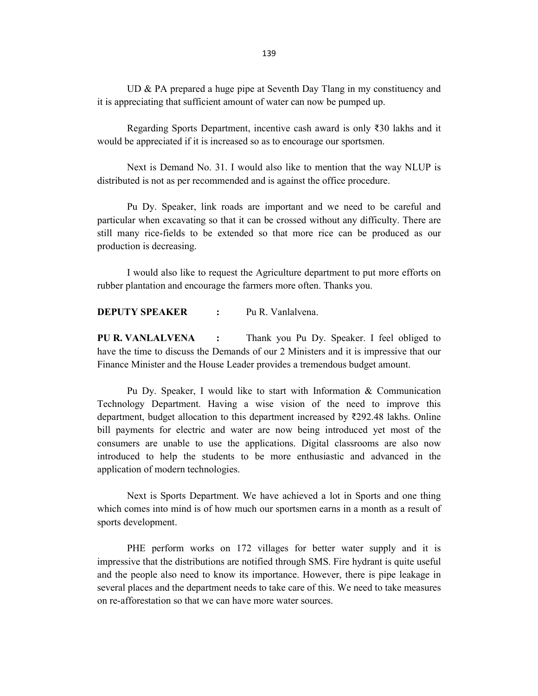UD & PA prepared a huge pipe at Seventh Day Tlang in my constituency and it is appreciating that sufficient amount of water can now be pumped up.

Regarding Sports Department, incentive cash award is only ₹30 lakhs and it would be appreciated if it is increased so as to encourage our sportsmen.

Next is Demand No. 31. I would also like to mention that the way NLUP is distributed is not as per recommended and is against the office procedure.

Pu Dy. Speaker, link roads are important and we need to be careful and particular when excavating so that it can be crossed without any difficulty. There are still many rice-fields to be extended so that more rice can be produced as our production is decreasing.

I would also like to request the Agriculture department to put more efforts on rubber plantation and encourage the farmers more often. Thanks you.

**DEPUTY SPEAKER :** Pu R. Vanlalvena.

**PU R. VANLALVENA :** Thank you Pu Dy. Speaker. I feel obliged to have the time to discuss the Demands of our 2 Ministers and it is impressive that our Finance Minister and the House Leader provides a tremendous budget amount.

Pu Dy. Speaker, I would like to start with Information & Communication Technology Department. Having a wise vision of the need to improve this department, budget allocation to this department increased by ₹292.48 lakhs. Online bill payments for electric and water are now being introduced yet most of the consumers are unable to use the applications. Digital classrooms are also now introduced to help the students to be more enthusiastic and advanced in the application of modern technologies.

Next is Sports Department. We have achieved a lot in Sports and one thing which comes into mind is of how much our sportsmen earns in a month as a result of sports development.

PHE perform works on 172 villages for better water supply and it is impressive that the distributions are notified through SMS. Fire hydrant is quite useful and the people also need to know its importance. However, there is pipe leakage in several places and the department needs to take care of this. We need to take measures on re-afforestation so that we can have more water sources.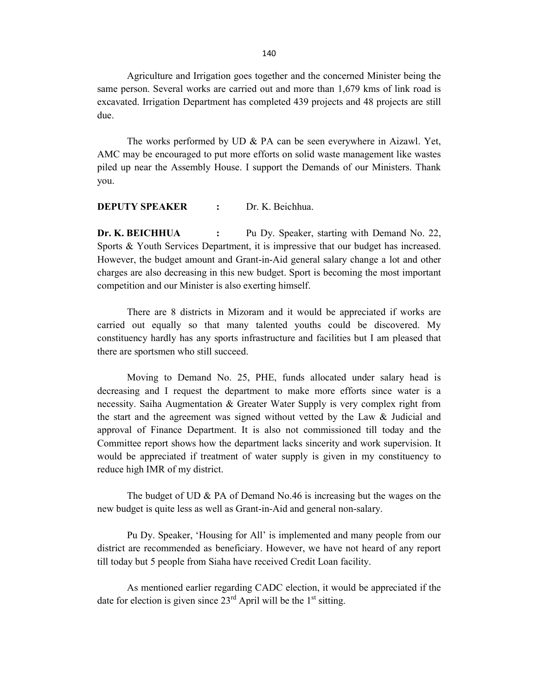Agriculture and Irrigation goes together and the concerned Minister being the same person. Several works are carried out and more than 1,679 kms of link road is excavated. Irrigation Department has completed 439 projects and 48 projects are still due.

The works performed by UD & PA can be seen everywhere in Aizawl. Yet, AMC may be encouraged to put more efforts on solid waste management like wastes piled up near the Assembly House. I support the Demands of our Ministers. Thank you.

#### **DEPUTY SPEAKER :** Dr. K. Beichhua.

**Dr. K. BEICHHUA :** Pu Dy. Speaker, starting with Demand No. 22, Sports & Youth Services Department, it is impressive that our budget has increased. However, the budget amount and Grant-in-Aid general salary change a lot and other charges are also decreasing in this new budget. Sport is becoming the most important competition and our Minister is also exerting himself.

There are 8 districts in Mizoram and it would be appreciated if works are carried out equally so that many talented youths could be discovered. My constituency hardly has any sports infrastructure and facilities but I am pleased that there are sportsmen who still succeed.

Moving to Demand No. 25, PHE, funds allocated under salary head is decreasing and I request the department to make more efforts since water is a necessity. Saiha Augmentation & Greater Water Supply is very complex right from the start and the agreement was signed without vetted by the Law & Judicial and approval of Finance Department. It is also not commissioned till today and the Committee report shows how the department lacks sincerity and work supervision. It would be appreciated if treatment of water supply is given in my constituency to reduce high IMR of my district.

The budget of UD & PA of Demand No.46 is increasing but the wages on the new budget is quite less as well as Grant-in-Aid and general non-salary.

Pu Dy. Speaker, 'Housing for All' is implemented and many people from our district are recommended as beneficiary. However, we have not heard of any report till today but 5 people from Siaha have received Credit Loan facility.

As mentioned earlier regarding CADC election, it would be appreciated if the date for election is given since  $23<sup>rd</sup>$  April will be the 1<sup>st</sup> sitting.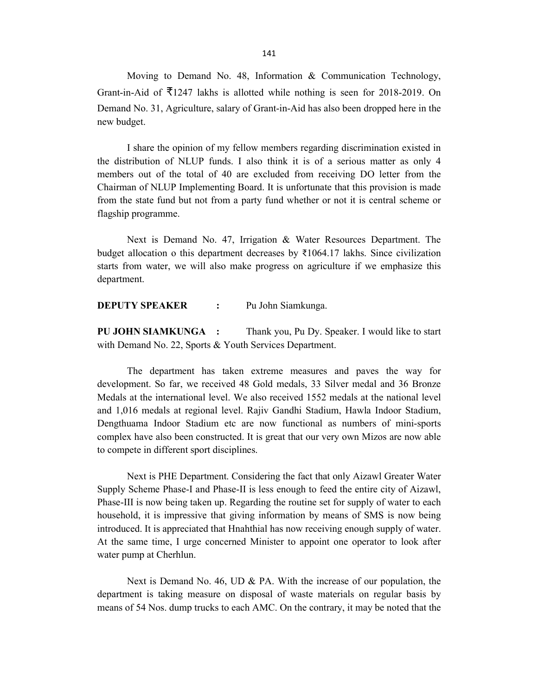Moving to Demand No. 48, Information & Communication Technology, Grant-in-Aid of  $\overline{\xi}$ 1247 lakhs is allotted while nothing is seen for 2018-2019. On Demand No. 31, Agriculture, salary of Grant-in-Aid has also been dropped here in the new budget.

I share the opinion of my fellow members regarding discrimination existed in the distribution of NLUP funds. I also think it is of a serious matter as only 4 members out of the total of 40 are excluded from receiving DO letter from the Chairman of NLUP Implementing Board. It is unfortunate that this provision is made from the state fund but not from a party fund whether or not it is central scheme or flagship programme.

Next is Demand No. 47, Irrigation & Water Resources Department. The budget allocation o this department decreases by  $\overline{\xi}1064.17$  lakhs. Since civilization starts from water, we will also make progress on agriculture if we emphasize this department.

**DEPUTY SPEAKER :** Pu John Siamkunga.

**PU JOHN SIAMKUNGA :** Thank you, Pu Dy. Speaker. I would like to start with Demand No. 22, Sports & Youth Services Department.

The department has taken extreme measures and paves the way for development. So far, we received 48 Gold medals, 33 Silver medal and 36 Bronze Medals at the international level. We also received 1552 medals at the national level and 1,016 medals at regional level. Rajiv Gandhi Stadium, Hawla Indoor Stadium, Dengthuama Indoor Stadium etc are now functional as numbers of mini-sports complex have also been constructed. It is great that our very own Mizos are now able to compete in different sport disciplines.

Next is PHE Department. Considering the fact that only Aizawl Greater Water Supply Scheme Phase-I and Phase-II is less enough to feed the entire city of Aizawl, Phase-III is now being taken up. Regarding the routine set for supply of water to each household, it is impressive that giving information by means of SMS is now being introduced. It is appreciated that Hnahthial has now receiving enough supply of water. At the same time, I urge concerned Minister to appoint one operator to look after water pump at Cherhlun.

Next is Demand No. 46, UD & PA. With the increase of our population, the department is taking measure on disposal of waste materials on regular basis by means of 54 Nos. dump trucks to each AMC. On the contrary, it may be noted that the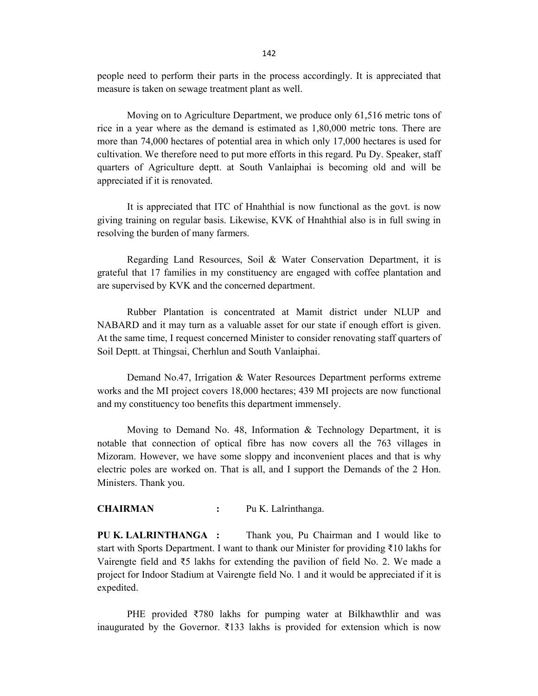people need to perform their parts in the process accordingly. It is appreciated that measure is taken on sewage treatment plant as well.

Moving on to Agriculture Department, we produce only 61,516 metric tons of rice in a year where as the demand is estimated as 1,80,000 metric tons. There are more than 74,000 hectares of potential area in which only 17,000 hectares is used for cultivation. We therefore need to put more efforts in this regard. Pu Dy. Speaker, staff quarters of Agriculture deptt. at South Vanlaiphai is becoming old and will be appreciated if it is renovated.

It is appreciated that ITC of Hnahthial is now functional as the govt. is now giving training on regular basis. Likewise, KVK of Hnahthial also is in full swing in resolving the burden of many farmers.

Regarding Land Resources, Soil & Water Conservation Department, it is grateful that 17 families in my constituency are engaged with coffee plantation and are supervised by KVK and the concerned department.

Rubber Plantation is concentrated at Mamit district under NLUP and NABARD and it may turn as a valuable asset for our state if enough effort is given. At the same time, I request concerned Minister to consider renovating staff quarters of Soil Deptt. at Thingsai, Cherhlun and South Vanlaiphai.

Demand No.47, Irrigation & Water Resources Department performs extreme works and the MI project covers 18,000 hectares; 439 MI projects are now functional and my constituency too benefits this department immensely.

Moving to Demand No. 48, Information & Technology Department, it is notable that connection of optical fibre has now covers all the 763 villages in Mizoram. However, we have some sloppy and inconvenient places and that is why electric poles are worked on. That is all, and I support the Demands of the 2 Hon. Ministers. Thank you.

#### **CHAIRMAN :** Pu K. Lalrinthanga.

**PU K. LALRINTHANGA :** Thank you, Pu Chairman and I would like to start with Sports Department. I want to thank our Minister for providing ₹10 lakhs for Vairengte field and ₹5 lakhs for extending the pavilion of field No. 2. We made a project for Indoor Stadium at Vairengte field No. 1 and it would be appreciated if it is expedited.

PHE provided ₹780 lakhs for pumping water at Bilkhawthlir and was inaugurated by the Governor.  $\overline{\xi}$ 133 lakhs is provided for extension which is now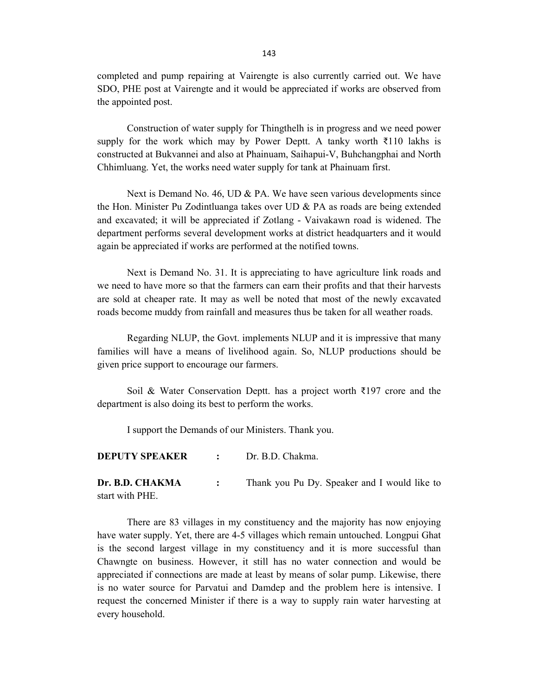completed and pump repairing at Vairengte is also currently carried out. We have SDO, PHE post at Vairengte and it would be appreciated if works are observed from the appointed post.

Construction of water supply for Thingthelh is in progress and we need power supply for the work which may by Power Deptt. A tanky worth  $\bar{\tau}$ 110 lakhs is constructed at Bukvannei and also at Phainuam, Saihapui-V, Buhchangphai and North Chhimluang. Yet, the works need water supply for tank at Phainuam first.

Next is Demand No. 46, UD & PA. We have seen various developments since the Hon. Minister Pu Zodintluanga takes over UD & PA as roads are being extended and excavated; it will be appreciated if Zotlang - Vaivakawn road is widened. The department performs several development works at district headquarters and it would again be appreciated if works are performed at the notified towns.

Next is Demand No. 31. It is appreciating to have agriculture link roads and we need to have more so that the farmers can earn their profits and that their harvests are sold at cheaper rate. It may as well be noted that most of the newly excavated roads become muddy from rainfall and measures thus be taken for all weather roads.

Regarding NLUP, the Govt. implements NLUP and it is impressive that many families will have a means of livelihood again. So, NLUP productions should be given price support to encourage our farmers.

Soil & Water Conservation Deptt. has a project worth ₹197 crore and the department is also doing its best to perform the works.

I support the Demands of our Ministers. Thank you.

**DEPUTY SPEAKER :** Dr. B.D. Chakma.

**Dr. B.D. CHAKMA :** Thank you Pu Dy. Speaker and I would like to start with PHE.

There are 83 villages in my constituency and the majority has now enjoying have water supply. Yet, there are 4-5 villages which remain untouched. Longpui Ghat is the second largest village in my constituency and it is more successful than Chawngte on business. However, it still has no water connection and would be appreciated if connections are made at least by means of solar pump. Likewise, there is no water source for Parvatui and Damdep and the problem here is intensive. I request the concerned Minister if there is a way to supply rain water harvesting at every household.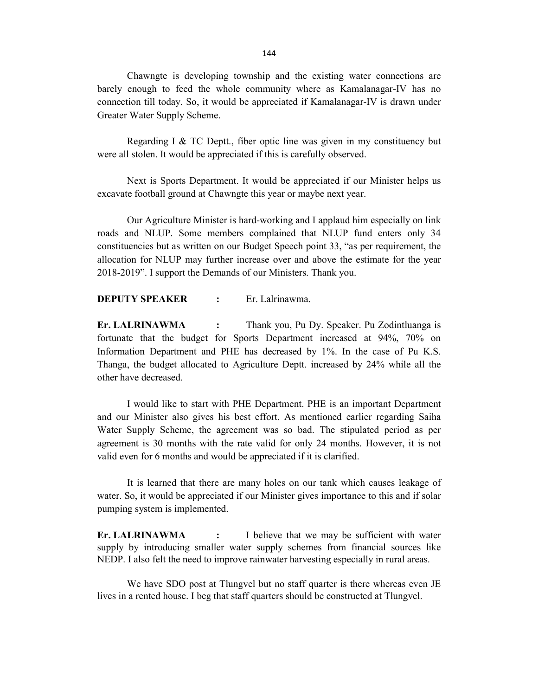Chawngte is developing township and the existing water connections are barely enough to feed the whole community where as Kamalanagar-IV has no connection till today. So, it would be appreciated if Kamalanagar-IV is drawn under Greater Water Supply Scheme.

Regarding I & TC Deptt., fiber optic line was given in my constituency but were all stolen. It would be appreciated if this is carefully observed.

Next is Sports Department. It would be appreciated if our Minister helps us excavate football ground at Chawngte this year or maybe next year.

Our Agriculture Minister is hard-working and I applaud him especially on link roads and NLUP. Some members complained that NLUP fund enters only 34 constituencies but as written on our Budget Speech point 33, "as per requirement, the allocation for NLUP may further increase over and above the estimate for the year 2018-2019". I support the Demands of our Ministers. Thank you.

### **DEPUTY SPEAKER :** Er. Lalrinawma.

**Er. LALRINAWMA :** Thank you, Pu Dy. Speaker. Pu Zodintluanga is fortunate that the budget for Sports Department increased at 94%, 70% on Information Department and PHE has decreased by 1%. In the case of Pu K.S. Thanga, the budget allocated to Agriculture Deptt. increased by 24% while all the other have decreased.

I would like to start with PHE Department. PHE is an important Department and our Minister also gives his best effort. As mentioned earlier regarding Saiha Water Supply Scheme, the agreement was so bad. The stipulated period as per agreement is 30 months with the rate valid for only 24 months. However, it is not valid even for 6 months and would be appreciated if it is clarified.

It is learned that there are many holes on our tank which causes leakage of water. So, it would be appreciated if our Minister gives importance to this and if solar pumping system is implemented.

**Er. LALRINAWMA :** I believe that we may be sufficient with water supply by introducing smaller water supply schemes from financial sources like NEDP. I also felt the need to improve rainwater harvesting especially in rural areas.

We have SDO post at Tlungvel but no staff quarter is there whereas even JE lives in a rented house. I beg that staff quarters should be constructed at Tlungvel.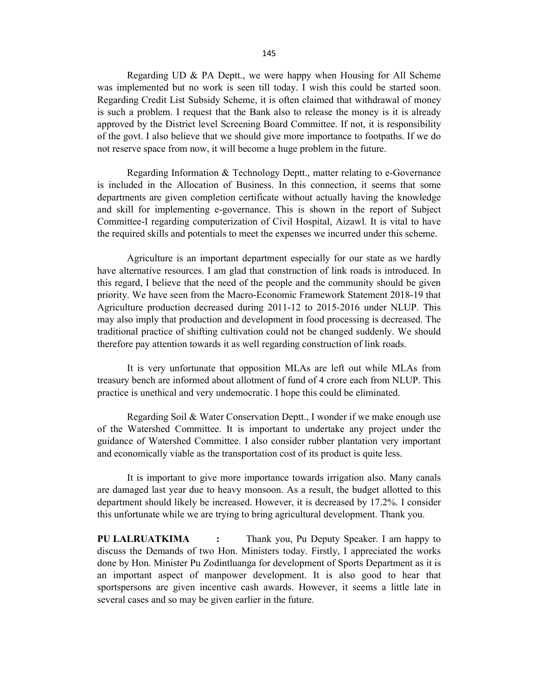Regarding UD & PA Deptt., we were happy when Housing for All Scheme was implemented but no work is seen till today. I wish this could be started soon. Regarding Credit List Subsidy Scheme, it is often claimed that withdrawal of money is such a problem. I request that the Bank also to release the money is it is already approved by the District level Screening Board Committee. If not, it is responsibility of the govt. I also believe that we should give more importance to footpaths. If we do not reserve space from now, it will become a huge problem in the future.

Regarding Information & Technology Deptt., matter relating to e-Governance is included in the Allocation of Business. In this connection, it seems that some departments are given completion certificate without actually having the knowledge and skill for implementing e-governance. This is shown in the report of Subject Committee-I regarding computerization of Civil Hospital, Aizawl. It is vital to have the required skills and potentials to meet the expenses we incurred under this scheme.

Agriculture is an important department especially for our state as we hardly have alternative resources. I am glad that construction of link roads is introduced. In this regard, I believe that the need of the people and the community should be given priority. We have seen from the Macro-Economic Framework Statement 2018-19 that Agriculture production decreased during 2011-12 to 2015-2016 under NLUP. This may also imply that production and development in food processing is decreased. The traditional practice of shifting cultivation could not be changed suddenly. We should therefore pay attention towards it as well regarding construction of link roads.

It is very unfortunate that opposition MLAs are left out while MLAs from treasury bench are informed about allotment of fund of 4 crore each from NLUP. This practice is unethical and very undemocratic. I hope this could be eliminated.

Regarding Soil & Water Conservation Deptt., I wonder if we make enough use of the Watershed Committee. It is important to undertake any project under the guidance of Watershed Committee. I also consider rubber plantation very important and economically viable as the transportation cost of its product is quite less.

It is important to give more importance towards irrigation also. Many canals are damaged last year due to heavy monsoon. As a result, the budget allotted to this department should likely be increased. However, it is decreased by 17.2%. I consider this unfortunate while we are trying to bring agricultural development. Thank you.

**PU LALRUATKIMA :** Thank you, Pu Deputy Speaker. I am happy to discuss the Demands of two Hon. Ministers today. Firstly, I appreciated the works done by Hon. Minister Pu Zodintluanga for development of Sports Department as it is an important aspect of manpower development. It is also good to hear that sportspersons are given incentive cash awards. However, it seems a little late in several cases and so may be given earlier in the future.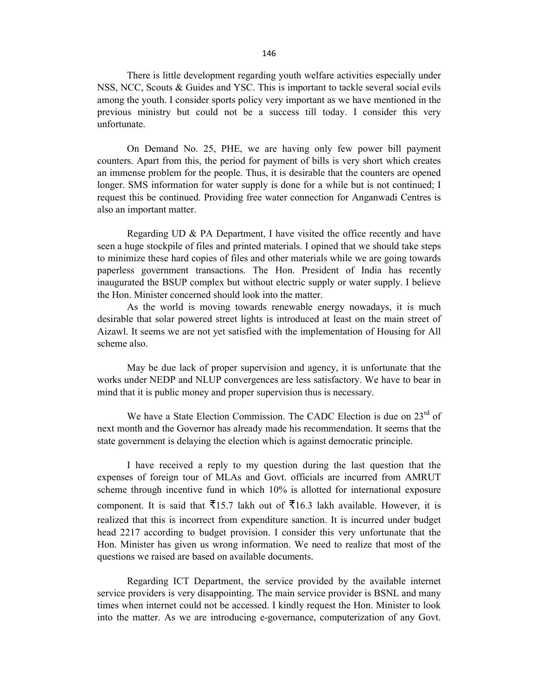There is little development regarding youth welfare activities especially under NSS, NCC, Scouts & Guides and YSC. This is important to tackle several social evils among the youth. I consider sports policy very important as we have mentioned in the previous ministry but could not be a success till today. I consider this very unfortunate.

On Demand No. 25, PHE, we are having only few power bill payment counters. Apart from this, the period for payment of bills is very short which creates an immense problem for the people. Thus, it is desirable that the counters are opened longer. SMS information for water supply is done for a while but is not continued; I request this be continued. Providing free water connection for Anganwadi Centres is also an important matter.

Regarding UD  $\&$  PA Department, I have visited the office recently and have seen a huge stockpile of files and printed materials. I opined that we should take steps to minimize these hard copies of files and other materials while we are going towards paperless government transactions. The Hon. President of India has recently inaugurated the BSUP complex but without electric supply or water supply. I believe the Hon. Minister concerned should look into the matter.

As the world is moving towards renewable energy nowadays, it is much desirable that solar powered street lights is introduced at least on the main street of Aizawl. It seems we are not yet satisfied with the implementation of Housing for All scheme also.

May be due lack of proper supervision and agency, it is unfortunate that the works under NEDP and NLUP convergences are less satisfactory. We have to bear in mind that it is public money and proper supervision thus is necessary.

We have a State Election Commission. The CADC Election is due on 23<sup>rd</sup> of next month and the Governor has already made his recommendation. It seems that the state government is delaying the election which is against democratic principle.

I have received a reply to my question during the last question that the expenses of foreign tour of MLAs and Govt. officials are incurred from AMRUT scheme through incentive fund in which 10% is allotted for international exposure component. It is said that  $\overline{5}15.7$  lakh out of  $\overline{5}16.3$  lakh available. However, it is realized that this is incorrect from expenditure sanction. It is incurred under budget head 2217 according to budget provision. I consider this very unfortunate that the Hon. Minister has given us wrong information. We need to realize that most of the questions we raised are based on available documents.

Regarding ICT Department, the service provided by the available internet service providers is very disappointing. The main service provider is BSNL and many times when internet could not be accessed. I kindly request the Hon. Minister to look into the matter. As we are introducing e-governance, computerization of any Govt.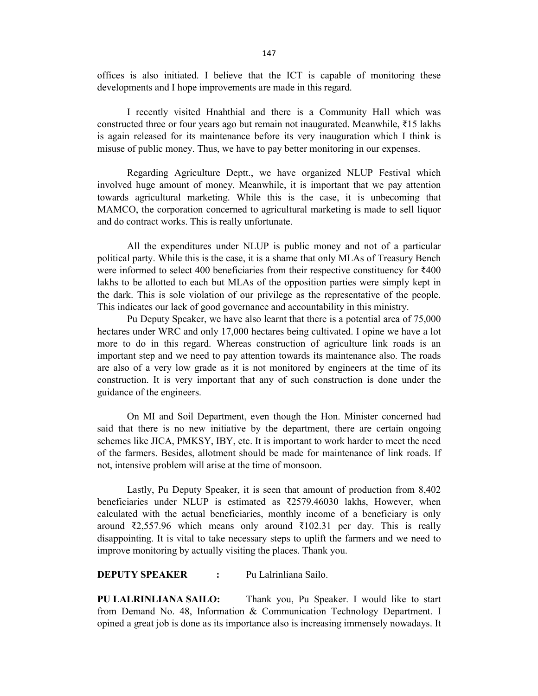offices is also initiated. I believe that the ICT is capable of monitoring these developments and I hope improvements are made in this regard.

I recently visited Hnahthial and there is a Community Hall which was constructed three or four years ago but remain not inaugurated. Meanwhile, ₹15 lakhs is again released for its maintenance before its very inauguration which I think is misuse of public money. Thus, we have to pay better monitoring in our expenses.

Regarding Agriculture Deptt., we have organized NLUP Festival which involved huge amount of money. Meanwhile, it is important that we pay attention towards agricultural marketing. While this is the case, it is unbecoming that MAMCO, the corporation concerned to agricultural marketing is made to sell liquor and do contract works. This is really unfortunate.

All the expenditures under NLUP is public money and not of a particular political party. While this is the case, it is a shame that only MLAs of Treasury Bench were informed to select 400 beneficiaries from their respective constituency for ₹400 lakhs to be allotted to each but MLAs of the opposition parties were simply kept in the dark. This is sole violation of our privilege as the representative of the people. This indicates our lack of good governance and accountability in this ministry.

Pu Deputy Speaker, we have also learnt that there is a potential area of 75,000 hectares under WRC and only 17,000 hectares being cultivated. I opine we have a lot more to do in this regard. Whereas construction of agriculture link roads is an important step and we need to pay attention towards its maintenance also. The roads are also of a very low grade as it is not monitored by engineers at the time of its construction. It is very important that any of such construction is done under the guidance of the engineers.

On MI and Soil Department, even though the Hon. Minister concerned had said that there is no new initiative by the department, there are certain ongoing schemes like JICA, PMKSY, IBY, etc. It is important to work harder to meet the need of the farmers. Besides, allotment should be made for maintenance of link roads. If not, intensive problem will arise at the time of monsoon.

Lastly, Pu Deputy Speaker, it is seen that amount of production from 8,402 beneficiaries under NLUP is estimated as ₹2579.46030 lakhs, However, when calculated with the actual beneficiaries, monthly income of a beneficiary is only around ₹2,557.96 which means only around ₹102.31 per day. This is really disappointing. It is vital to take necessary steps to uplift the farmers and we need to improve monitoring by actually visiting the places. Thank you.

### **DEPUTY SPEAKER :** Pu Lalrinliana Sailo.

**PU LALRINLIANA SAILO:** Thank you, Pu Speaker. I would like to start from Demand No. 48, Information & Communication Technology Department. I opined a great job is done as its importance also is increasing immensely nowadays. It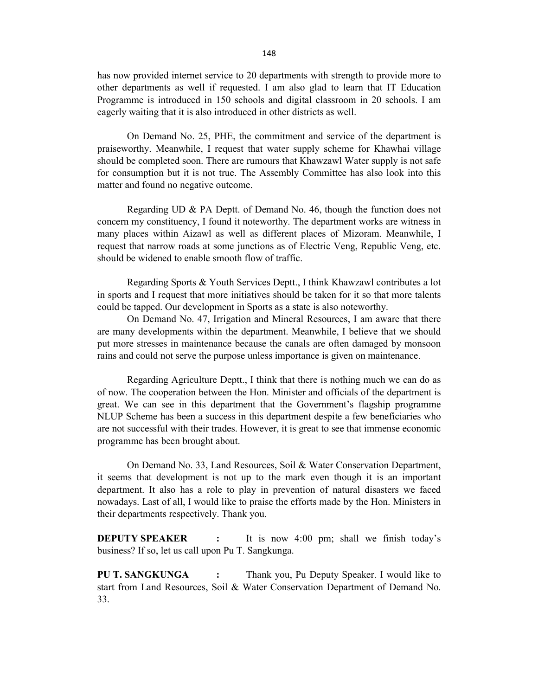has now provided internet service to 20 departments with strength to provide more to other departments as well if requested. I am also glad to learn that IT Education Programme is introduced in 150 schools and digital classroom in 20 schools. I am eagerly waiting that it is also introduced in other districts as well.

On Demand No. 25, PHE, the commitment and service of the department is praiseworthy. Meanwhile, I request that water supply scheme for Khawhai village should be completed soon. There are rumours that Khawzawl Water supply is not safe for consumption but it is not true. The Assembly Committee has also look into this matter and found no negative outcome.

Regarding UD  $\&$  PA Deptt. of Demand No. 46, though the function does not concern my constituency, I found it noteworthy. The department works are witness in many places within Aizawl as well as different places of Mizoram. Meanwhile, I request that narrow roads at some junctions as of Electric Veng, Republic Veng, etc. should be widened to enable smooth flow of traffic.

Regarding Sports & Youth Services Deptt., I think Khawzawl contributes a lot in sports and I request that more initiatives should be taken for it so that more talents could be tapped. Our development in Sports as a state is also noteworthy.

On Demand No. 47, Irrigation and Mineral Resources, I am aware that there are many developments within the department. Meanwhile, I believe that we should put more stresses in maintenance because the canals are often damaged by monsoon rains and could not serve the purpose unless importance is given on maintenance.

Regarding Agriculture Deptt., I think that there is nothing much we can do as of now. The cooperation between the Hon. Minister and officials of the department is great. We can see in this department that the Government's flagship programme NLUP Scheme has been a success in this department despite a few beneficiaries who are not successful with their trades. However, it is great to see that immense economic programme has been brought about.

On Demand No. 33, Land Resources, Soil & Water Conservation Department, it seems that development is not up to the mark even though it is an important department. It also has a role to play in prevention of natural disasters we faced nowadays. Last of all, I would like to praise the efforts made by the Hon. Ministers in their departments respectively. Thank you.

**DEPUTY SPEAKER :** It is now 4:00 pm; shall we finish today's business? If so, let us call upon Pu T. Sangkunga.

**PU T. SANGKUNGA :** Thank you, Pu Deputy Speaker. I would like to start from Land Resources, Soil & Water Conservation Department of Demand No. 33.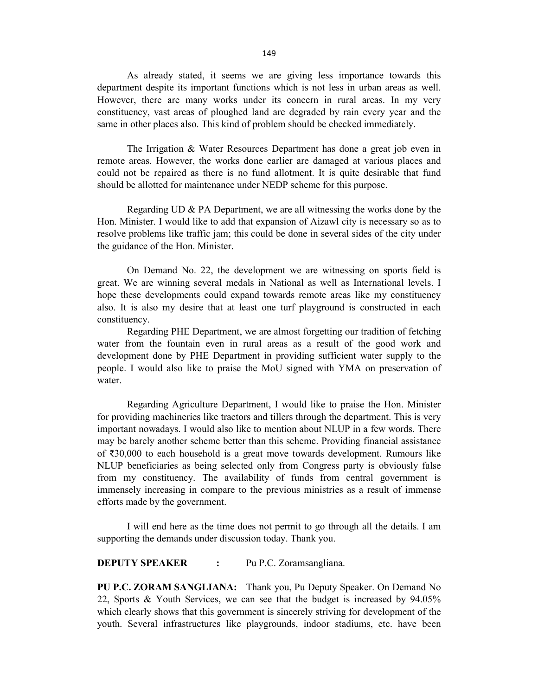As already stated, it seems we are giving less importance towards this department despite its important functions which is not less in urban areas as well. However, there are many works under its concern in rural areas. In my very constituency, vast areas of ploughed land are degraded by rain every year and the same in other places also. This kind of problem should be checked immediately.

The Irrigation & Water Resources Department has done a great job even in remote areas. However, the works done earlier are damaged at various places and could not be repaired as there is no fund allotment. It is quite desirable that fund should be allotted for maintenance under NEDP scheme for this purpose.

Regarding UD & PA Department, we are all witnessing the works done by the Hon. Minister. I would like to add that expansion of Aizawl city is necessary so as to resolve problems like traffic jam; this could be done in several sides of the city under the guidance of the Hon. Minister.

On Demand No. 22, the development we are witnessing on sports field is great. We are winning several medals in National as well as International levels. I hope these developments could expand towards remote areas like my constituency also. It is also my desire that at least one turf playground is constructed in each constituency.

Regarding PHE Department, we are almost forgetting our tradition of fetching water from the fountain even in rural areas as a result of the good work and development done by PHE Department in providing sufficient water supply to the people. I would also like to praise the MoU signed with YMA on preservation of water.

Regarding Agriculture Department, I would like to praise the Hon. Minister for providing machineries like tractors and tillers through the department. This is very important nowadays. I would also like to mention about NLUP in a few words. There may be barely another scheme better than this scheme. Providing financial assistance of ₹30,000 to each household is a great move towards development. Rumours like NLUP beneficiaries as being selected only from Congress party is obviously false from my constituency. The availability of funds from central government is immensely increasing in compare to the previous ministries as a result of immense efforts made by the government.

I will end here as the time does not permit to go through all the details. I am supporting the demands under discussion today. Thank you.

**DEPUTY SPEAKER :** Pu P.C. Zoramsangliana.

**PU P.C. ZORAM SANGLIANA:** Thank you, Pu Deputy Speaker. On Demand No 22, Sports & Youth Services, we can see that the budget is increased by 94.05% which clearly shows that this government is sincerely striving for development of the youth. Several infrastructures like playgrounds, indoor stadiums, etc. have been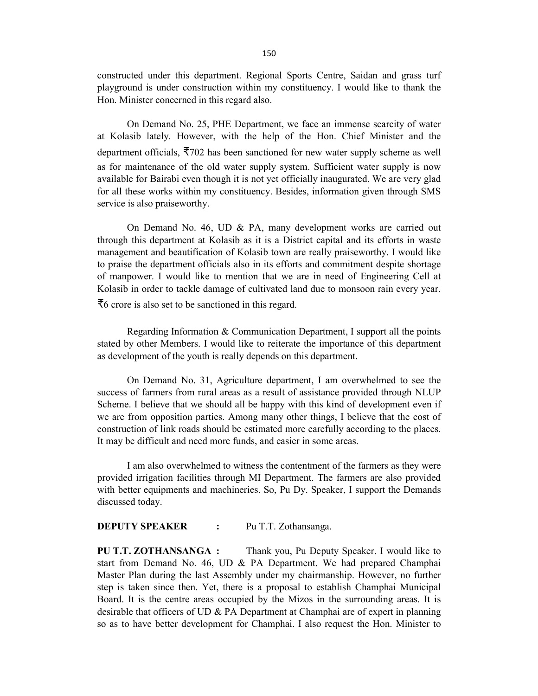constructed under this department. Regional Sports Centre, Saidan and grass turf playground is under construction within my constituency. I would like to thank the Hon. Minister concerned in this regard also.

On Demand No. 25, PHE Department, we face an immense scarcity of water at Kolasib lately. However, with the help of the Hon. Chief Minister and the department officials, ₹702 has been sanctioned for new water supply scheme as well as for maintenance of the old water supply system. Sufficient water supply is now available for Bairabi even though it is not yet officially inaugurated. We are very glad for all these works within my constituency. Besides, information given through SMS service is also praiseworthy.

On Demand No. 46, UD & PA, many development works are carried out through this department at Kolasib as it is a District capital and its efforts in waste management and beautification of Kolasib town are really praiseworthy. I would like to praise the department officials also in its efforts and commitment despite shortage of manpower. I would like to mention that we are in need of Engineering Cell at Kolasib in order to tackle damage of cultivated land due to monsoon rain every year. ₹6 crore is also set to be sanctioned in this regard.

Regarding Information & Communication Department, I support all the points stated by other Members. I would like to reiterate the importance of this department as development of the youth is really depends on this department.

On Demand No. 31, Agriculture department, I am overwhelmed to see the success of farmers from rural areas as a result of assistance provided through NLUP Scheme. I believe that we should all be happy with this kind of development even if we are from opposition parties. Among many other things, I believe that the cost of construction of link roads should be estimated more carefully according to the places. It may be difficult and need more funds, and easier in some areas.

I am also overwhelmed to witness the contentment of the farmers as they were provided irrigation facilities through MI Department. The farmers are also provided with better equipments and machineries. So, Pu Dy. Speaker, I support the Demands discussed today.

### **DEPUTY SPEAKER :** Pu T.T. Zothansanga.

**PU T.T. ZOTHANSANGA :** Thank you, Pu Deputy Speaker. I would like to start from Demand No. 46, UD & PA Department. We had prepared Champhai Master Plan during the last Assembly under my chairmanship. However, no further step is taken since then. Yet, there is a proposal to establish Champhai Municipal Board. It is the centre areas occupied by the Mizos in the surrounding areas. It is desirable that officers of UD & PA Department at Champhai are of expert in planning so as to have better development for Champhai. I also request the Hon. Minister to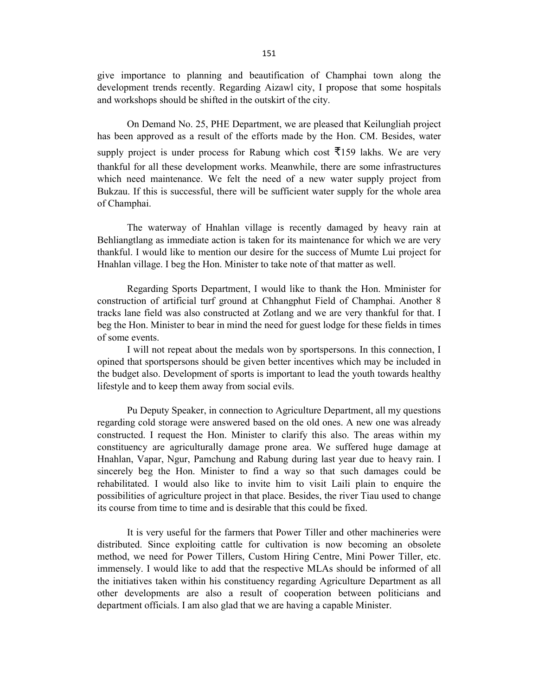give importance to planning and beautification of Champhai town along the development trends recently. Regarding Aizawl city, I propose that some hospitals and workshops should be shifted in the outskirt of the city.

On Demand No. 25, PHE Department, we are pleased that Keilungliah project has been approved as a result of the efforts made by the Hon. CM. Besides, water supply project is under process for Rabung which cost  $\overline{5}159$  lakhs. We are very thankful for all these development works. Meanwhile, there are some infrastructures which need maintenance. We felt the need of a new water supply project from Bukzau. If this is successful, there will be sufficient water supply for the whole area of Champhai.

The waterway of Hnahlan village is recently damaged by heavy rain at Behliangtlang as immediate action is taken for its maintenance for which we are very thankful. I would like to mention our desire for the success of Mumte Lui project for Hnahlan village. I beg the Hon. Minister to take note of that matter as well.

Regarding Sports Department, I would like to thank the Hon. Mminister for construction of artificial turf ground at Chhangphut Field of Champhai. Another 8 tracks lane field was also constructed at Zotlang and we are very thankful for that. I beg the Hon. Minister to bear in mind the need for guest lodge for these fields in times of some events.

I will not repeat about the medals won by sportspersons. In this connection, I opined that sportspersons should be given better incentives which may be included in the budget also. Development of sports is important to lead the youth towards healthy lifestyle and to keep them away from social evils.

Pu Deputy Speaker, in connection to Agriculture Department, all my questions regarding cold storage were answered based on the old ones. A new one was already constructed. I request the Hon. Minister to clarify this also. The areas within my constituency are agriculturally damage prone area. We suffered huge damage at Hnahlan, Vapar, Ngur, Pamchung and Rabung during last year due to heavy rain. I sincerely beg the Hon. Minister to find a way so that such damages could be rehabilitated. I would also like to invite him to visit Laili plain to enquire the possibilities of agriculture project in that place. Besides, the river Tiau used to change its course from time to time and is desirable that this could be fixed.

It is very useful for the farmers that Power Tiller and other machineries were distributed. Since exploiting cattle for cultivation is now becoming an obsolete method, we need for Power Tillers, Custom Hiring Centre, Mini Power Tiller, etc. immensely. I would like to add that the respective MLAs should be informed of all the initiatives taken within his constituency regarding Agriculture Department as all other developments are also a result of cooperation between politicians and department officials. I am also glad that we are having a capable Minister.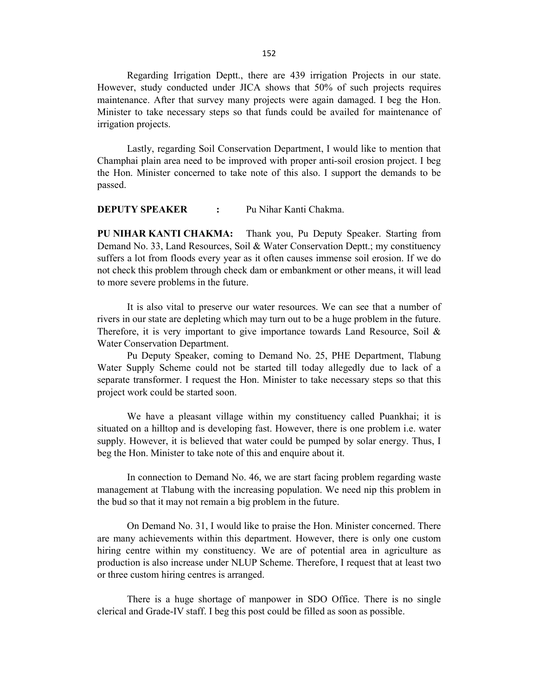Regarding Irrigation Deptt., there are 439 irrigation Projects in our state. However, study conducted under JICA shows that 50% of such projects requires maintenance. After that survey many projects were again damaged. I beg the Hon. Minister to take necessary steps so that funds could be availed for maintenance of irrigation projects.

Lastly, regarding Soil Conservation Department, I would like to mention that Champhai plain area need to be improved with proper anti-soil erosion project. I beg the Hon. Minister concerned to take note of this also. I support the demands to be passed.

**DEPUTY SPEAKER :** Pu Nihar Kanti Chakma.

**PU NIHAR KANTI CHAKMA:** Thank you, Pu Deputy Speaker. Starting from Demand No. 33, Land Resources, Soil & Water Conservation Deptt.; my constituency suffers a lot from floods every year as it often causes immense soil erosion. If we do not check this problem through check dam or embankment or other means, it will lead to more severe problems in the future.

It is also vital to preserve our water resources. We can see that a number of rivers in our state are depleting which may turn out to be a huge problem in the future. Therefore, it is very important to give importance towards Land Resource, Soil  $\&$ Water Conservation Department.

Pu Deputy Speaker, coming to Demand No. 25, PHE Department, Tlabung Water Supply Scheme could not be started till today allegedly due to lack of a separate transformer. I request the Hon. Minister to take necessary steps so that this project work could be started soon.

We have a pleasant village within my constituency called Puankhai; it is situated on a hilltop and is developing fast. However, there is one problem i.e. water supply. However, it is believed that water could be pumped by solar energy. Thus, I beg the Hon. Minister to take note of this and enquire about it.

In connection to Demand No. 46, we are start facing problem regarding waste management at Tlabung with the increasing population. We need nip this problem in the bud so that it may not remain a big problem in the future.

On Demand No. 31, I would like to praise the Hon. Minister concerned. There are many achievements within this department. However, there is only one custom hiring centre within my constituency. We are of potential area in agriculture as production is also increase under NLUP Scheme. Therefore, I request that at least two or three custom hiring centres is arranged.

There is a huge shortage of manpower in SDO Office. There is no single clerical and Grade-IV staff. I beg this post could be filled as soon as possible.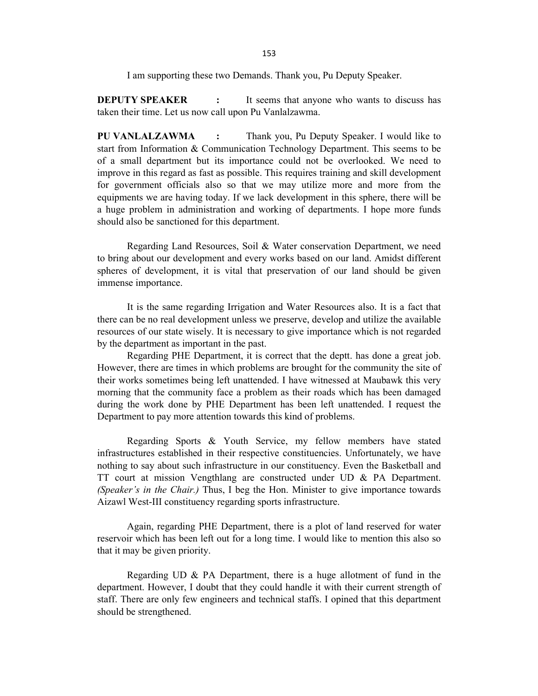I am supporting these two Demands. Thank you, Pu Deputy Speaker.

**DEPUTY SPEAKER** : It seems that anyone who wants to discuss has taken their time. Let us now call upon Pu Vanlalzawma.

**PU VANLALZAWMA :** Thank you, Pu Deputy Speaker. I would like to start from Information & Communication Technology Department. This seems to be of a small department but its importance could not be overlooked. We need to improve in this regard as fast as possible. This requires training and skill development for government officials also so that we may utilize more and more from the equipments we are having today. If we lack development in this sphere, there will be a huge problem in administration and working of departments. I hope more funds should also be sanctioned for this department.

Regarding Land Resources, Soil & Water conservation Department, we need to bring about our development and every works based on our land. Amidst different spheres of development, it is vital that preservation of our land should be given immense importance.

It is the same regarding Irrigation and Water Resources also. It is a fact that there can be no real development unless we preserve, develop and utilize the available resources of our state wisely. It is necessary to give importance which is not regarded by the department as important in the past.

Regarding PHE Department, it is correct that the deptt. has done a great job. However, there are times in which problems are brought for the community the site of their works sometimes being left unattended. I have witnessed at Maubawk this very morning that the community face a problem as their roads which has been damaged during the work done by PHE Department has been left unattended. I request the Department to pay more attention towards this kind of problems.

Regarding Sports & Youth Service, my fellow members have stated infrastructures established in their respective constituencies. Unfortunately, we have nothing to say about such infrastructure in our constituency. Even the Basketball and TT court at mission Vengthlang are constructed under UD & PA Department. *(Speaker's in the Chair.)* Thus, I beg the Hon. Minister to give importance towards Aizawl West-III constituency regarding sports infrastructure.

Again, regarding PHE Department, there is a plot of land reserved for water reservoir which has been left out for a long time. I would like to mention this also so that it may be given priority.

Regarding UD & PA Department, there is a huge allotment of fund in the department. However, I doubt that they could handle it with their current strength of staff. There are only few engineers and technical staffs. I opined that this department should be strengthened.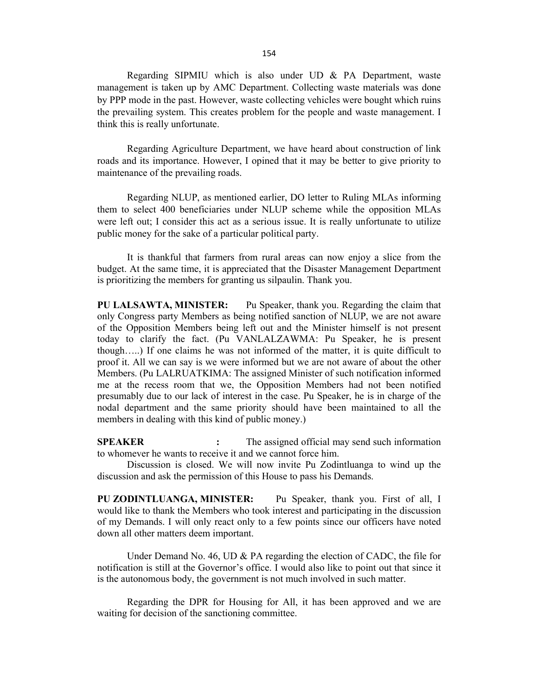Regarding SIPMIU which is also under UD  $\&$  PA Department, waste management is taken up by AMC Department. Collecting waste materials was done by PPP mode in the past. However, waste collecting vehicles were bought which ruins the prevailing system. This creates problem for the people and waste management. I think this is really unfortunate.

Regarding Agriculture Department, we have heard about construction of link roads and its importance. However, I opined that it may be better to give priority to maintenance of the prevailing roads.

Regarding NLUP, as mentioned earlier, DO letter to Ruling MLAs informing them to select 400 beneficiaries under NLUP scheme while the opposition MLAs were left out; I consider this act as a serious issue. It is really unfortunate to utilize public money for the sake of a particular political party.

It is thankful that farmers from rural areas can now enjoy a slice from the budget. At the same time, it is appreciated that the Disaster Management Department is prioritizing the members for granting us silpaulin. Thank you.

**PU LALSAWTA, MINISTER:** Pu Speaker, thank you. Regarding the claim that only Congress party Members as being notified sanction of NLUP, we are not aware of the Opposition Members being left out and the Minister himself is not present today to clarify the fact. (Pu VANLALZAWMA: Pu Speaker, he is present though…..) If one claims he was not informed of the matter, it is quite difficult to proof it. All we can say is we were informed but we are not aware of about the other Members. (Pu LALRUATKIMA: The assigned Minister of such notification informed me at the recess room that we, the Opposition Members had not been notified presumably due to our lack of interest in the case. Pu Speaker, he is in charge of the nodal department and the same priority should have been maintained to all the members in dealing with this kind of public money.)

**SPEAKER :** The assigned official may send such information to whomever he wants to receive it and we cannot force him.

Discussion is closed. We will now invite Pu Zodintluanga to wind up the discussion and ask the permission of this House to pass his Demands.

**PU ZODINTLUANGA, MINISTER:** Pu Speaker, thank you. First of all, I would like to thank the Members who took interest and participating in the discussion of my Demands. I will only react only to a few points since our officers have noted down all other matters deem important.

Under Demand No. 46, UD & PA regarding the election of CADC, the file for notification is still at the Governor's office. I would also like to point out that since it is the autonomous body, the government is not much involved in such matter.

Regarding the DPR for Housing for All, it has been approved and we are waiting for decision of the sanctioning committee.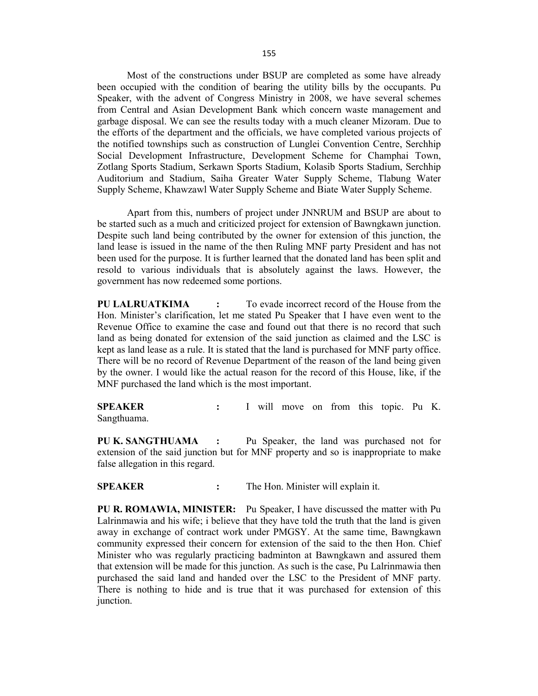Most of the constructions under BSUP are completed as some have already been occupied with the condition of bearing the utility bills by the occupants. Pu Speaker, with the advent of Congress Ministry in 2008, we have several schemes from Central and Asian Development Bank which concern waste management and garbage disposal. We can see the results today with a much cleaner Mizoram. Due to the efforts of the department and the officials, we have completed various projects of the notified townships such as construction of Lunglei Convention Centre, Serchhip Social Development Infrastructure, Development Scheme for Champhai Town, Zotlang Sports Stadium, Serkawn Sports Stadium, Kolasib Sports Stadium, Serchhip Auditorium and Stadium, Saiha Greater Water Supply Scheme, Tlabung Water Supply Scheme, Khawzawl Water Supply Scheme and Biate Water Supply Scheme.

Apart from this, numbers of project under JNNRUM and BSUP are about to be started such as a much and criticized project for extension of Bawngkawn junction. Despite such land being contributed by the owner for extension of this junction, the land lease is issued in the name of the then Ruling MNF party President and has not been used for the purpose. It is further learned that the donated land has been split and resold to various individuals that is absolutely against the laws. However, the government has now redeemed some portions.

**PU LALRUATKIMA :** To evade incorrect record of the House from the Hon. Minister's clarification, let me stated Pu Speaker that I have even went to the Revenue Office to examine the case and found out that there is no record that such land as being donated for extension of the said junction as claimed and the LSC is kept as land lease as a rule. It is stated that the land is purchased for MNF party office. There will be no record of Revenue Department of the reason of the land being given by the owner. I would like the actual reason for the record of this House, like, if the MNF purchased the land which is the most important.

**SPEAKER :** I will move on from this topic. Pu K. Sangthuama.

**PU K. SANGTHUAMA :** Pu Speaker, the land was purchased not for extension of the said junction but for MNF property and so is inappropriate to make false allegation in this regard.

**SPEAKER :** The Hon. Minister will explain it.

**PU R. ROMAWIA, MINISTER:** Pu Speaker, I have discussed the matter with Pu Lalrinmawia and his wife; i believe that they have told the truth that the land is given away in exchange of contract work under PMGSY. At the same time, Bawngkawn community expressed their concern for extension of the said to the then Hon. Chief Minister who was regularly practicing badminton at Bawngkawn and assured them that extension will be made for this junction. As such is the case, Pu Lalrinmawia then purchased the said land and handed over the LSC to the President of MNF party. There is nothing to hide and is true that it was purchased for extension of this junction.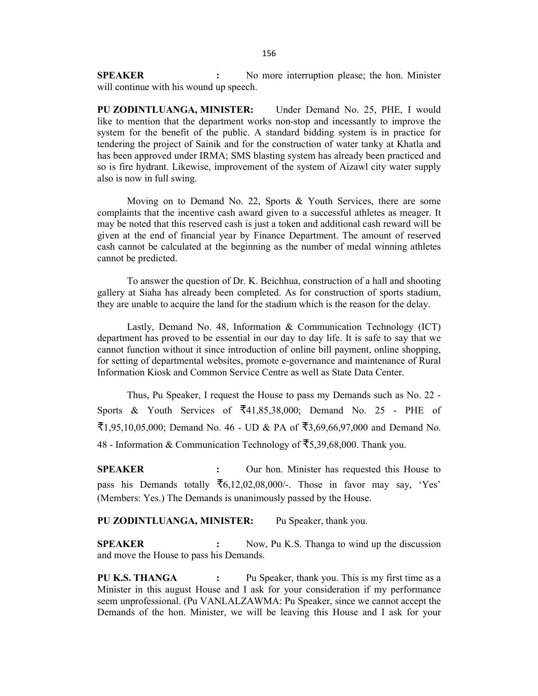**SPEAKER :** No more interruption please; the hon. Minister will continue with his wound up speech.

**PU ZODINTLUANGA, MINISTER:** Under Demand No. 25, PHE, I would like to mention that the department works non-stop and incessantly to improve the system for the benefit of the public. A standard bidding system is in practice for tendering the project of Sainik and for the construction of water tanky at Khatla and has been approved under IRMA; SMS blasting system has already been practiced and so is fire hydrant. Likewise, improvement of the system of Aizawl city water supply also is now in full swing.

Moving on to Demand No. 22, Sports & Youth Services, there are some complaints that the incentive cash award given to a successful athletes as meager. It may be noted that this reserved cash is just a token and additional cash reward will be given at the end of financial year by Finance Department. The amount of reserved cash cannot be calculated at the beginning as the number of medal winning athletes cannot be predicted.

To answer the question of Dr. K. Beichhua, construction of a hall and shooting gallery at Siaha has already been completed. As for construction of sports stadium, they are unable to acquire the land for the stadium which is the reason for the delay.

Lastly, Demand No. 48, Information & Communication Technology (ICT) department has proved to be essential in our day to day life. It is safe to say that we cannot function without it since introduction of online bill payment, online shopping, for setting of departmental websites, promote e-governance and maintenance of Rural Information Kiosk and Common Service Centre as well as State Data Center.

Thus, Pu Speaker, I request the House to pass my Demands such as No. 22 - Sports & Youth Services of  $\overline{5}41,85,38,000$ ; Demand No. 25 - PHE of ₹1,95,10,05,000; Demand No. 46 - UD & PA of ₹3,69,66,97,000 and Demand No. 48 - Information & Communication Technology of ₹5,39,68,000. Thank you.

**SPEAKER :** Our hon. Minister has requested this House to pass his Demands totally  $\overline{56,12,02,08,000/}$ . Those in favor may say, 'Yes' (Members: Yes.) The Demands is unanimously passed by the House.

**PU ZODINTLUANGA, MINISTER:** Pu Speaker, thank you.

**SPEAKER :** Now, Pu K.S. Thanga to wind up the discussion and move the House to pass his Demands.

**PU K.S. THANGA :** Pu Speaker, thank you. This is my first time as a Minister in this august House and I ask for your consideration if my performance seem unprofessional. (Pu VANLALZAWMA: Pu Speaker, since we cannot accept the Demands of the hon. Minister, we will be leaving this House and I ask for your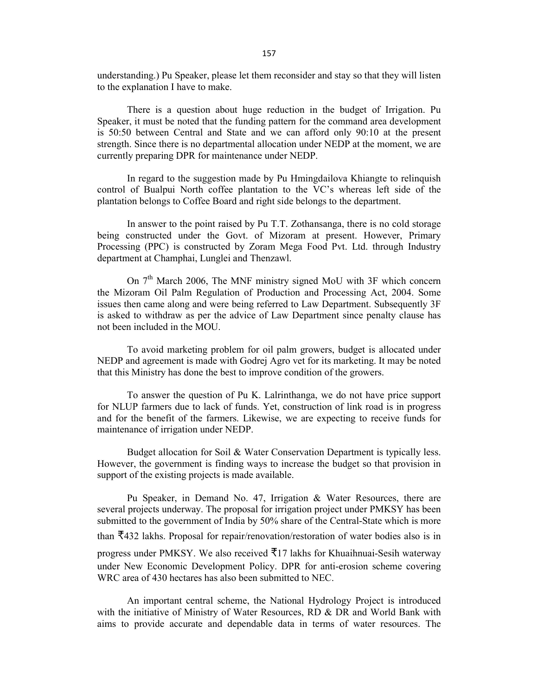understanding.) Pu Speaker, please let them reconsider and stay so that they will listen to the explanation I have to make.

There is a question about huge reduction in the budget of Irrigation. Pu Speaker, it must be noted that the funding pattern for the command area development is 50:50 between Central and State and we can afford only 90:10 at the present strength. Since there is no departmental allocation under NEDP at the moment, we are currently preparing DPR for maintenance under NEDP.

In regard to the suggestion made by Pu Hmingdailova Khiangte to relinquish control of Bualpui North coffee plantation to the VC's whereas left side of the plantation belongs to Coffee Board and right side belongs to the department.

In answer to the point raised by Pu T.T. Zothansanga, there is no cold storage being constructed under the Govt. of Mizoram at present. However, Primary Processing (PPC) is constructed by Zoram Mega Food Pvt. Ltd. through Industry department at Champhai, Lunglei and Thenzawl.

On  $7<sup>th</sup>$  March 2006, The MNF ministry signed MoU with 3F which concern the Mizoram Oil Palm Regulation of Production and Processing Act, 2004. Some issues then came along and were being referred to Law Department. Subsequently 3F is asked to withdraw as per the advice of Law Department since penalty clause has not been included in the MOU.

To avoid marketing problem for oil palm growers, budget is allocated under NEDP and agreement is made with Godrej Agro vet for its marketing. It may be noted that this Ministry has done the best to improve condition of the growers.

To answer the question of Pu K. Lalrinthanga, we do not have price support for NLUP farmers due to lack of funds. Yet, construction of link road is in progress and for the benefit of the farmers. Likewise, we are expecting to receive funds for maintenance of irrigation under NEDP.

Budget allocation for Soil & Water Conservation Department is typically less. However, the government is finding ways to increase the budget so that provision in support of the existing projects is made available.

Pu Speaker, in Demand No. 47, Irrigation & Water Resources, there are several projects underway. The proposal for irrigation project under PMKSY has been submitted to the government of India by 50% share of the Central-State which is more than  $\overline{5}432$  lakhs. Proposal for repair/renovation/restoration of water bodies also is in progress under PMKSY. We also received  $\overline{5}17$  lakhs for Khuaihnuai-Sesih waterway under New Economic Development Policy. DPR for anti-erosion scheme covering WRC area of 430 hectares has also been submitted to NEC.

An important central scheme, the National Hydrology Project is introduced with the initiative of Ministry of Water Resources, RD & DR and World Bank with aims to provide accurate and dependable data in terms of water resources. The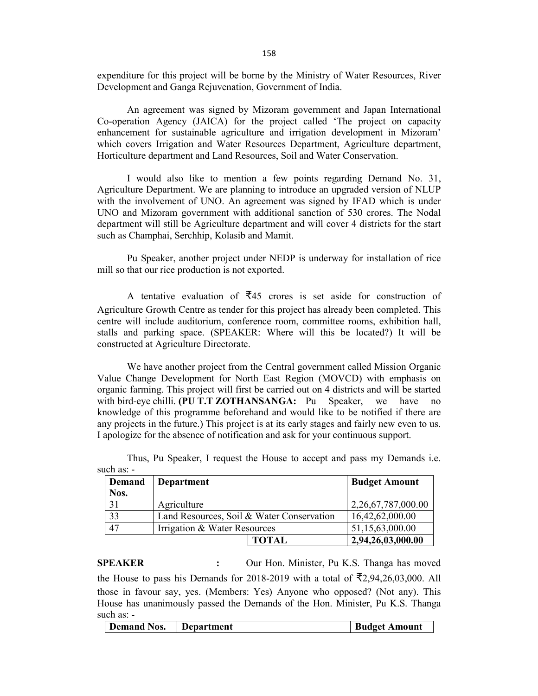expenditure for this project will be borne by the Ministry of Water Resources, River Development and Ganga Rejuvenation, Government of India.

An agreement was signed by Mizoram government and Japan International Co-operation Agency (JAICA) for the project called 'The project on capacity enhancement for sustainable agriculture and irrigation development in Mizoram' which covers Irrigation and Water Resources Department, Agriculture department, Horticulture department and Land Resources, Soil and Water Conservation.

I would also like to mention a few points regarding Demand No. 31, Agriculture Department. We are planning to introduce an upgraded version of NLUP with the involvement of UNO. An agreement was signed by IFAD which is under UNO and Mizoram government with additional sanction of 530 crores. The Nodal department will still be Agriculture department and will cover 4 districts for the start such as Champhai, Serchhip, Kolasib and Mamit.

Pu Speaker, another project under NEDP is underway for installation of rice mill so that our rice production is not exported.

A tentative evaluation of  $\overline{z}$ 45 crores is set aside for construction of Agriculture Growth Centre as tender for this project has already been completed. This centre will include auditorium, conference room, committee rooms, exhibition hall, stalls and parking space. (SPEAKER: Where will this be located?) It will be constructed at Agriculture Directorate.

We have another project from the Central government called Mission Organic Value Change Development for North East Region (MOVCD) with emphasis on organic farming. This project will first be carried out on 4 districts and will be started with bird-eye chilli. **(PU T.T ZOTHANSANGA:** Pu Speaker, we have no knowledge of this programme beforehand and would like to be notified if there are any projects in the future.) This project is at its early stages and fairly new even to us. I apologize for the absence of notification and ask for your continuous support.

| Demand<br>Nos. | Department                                |              | <b>Budget Amount</b> |
|----------------|-------------------------------------------|--------------|----------------------|
| 31             | Agriculture                               |              | 2,26,67,787,000.00   |
| 33             | Land Resources, Soil & Water Conservation |              | 16,42,62,000.00      |
| 47             | Irrigation & Water Resources              |              | 51,15,63,000.00      |
|                |                                           | <b>TOTAL</b> | 2,94,26,03,000.00    |

Thus, Pu Speaker, I request the House to accept and pass my Demands i.e. such as: -

**SPEAKER :** Our Hon. Minister, Pu K.S. Thanga has moved the House to pass his Demands for 2018-2019 with a total of  $\overline{5}2,94,26,03,000$ . All those in favour say, yes. (Members: Yes) Anyone who opposed? (Not any). This House has unanimously passed the Demands of the Hon. Minister, Pu K.S. Thanga such as: -